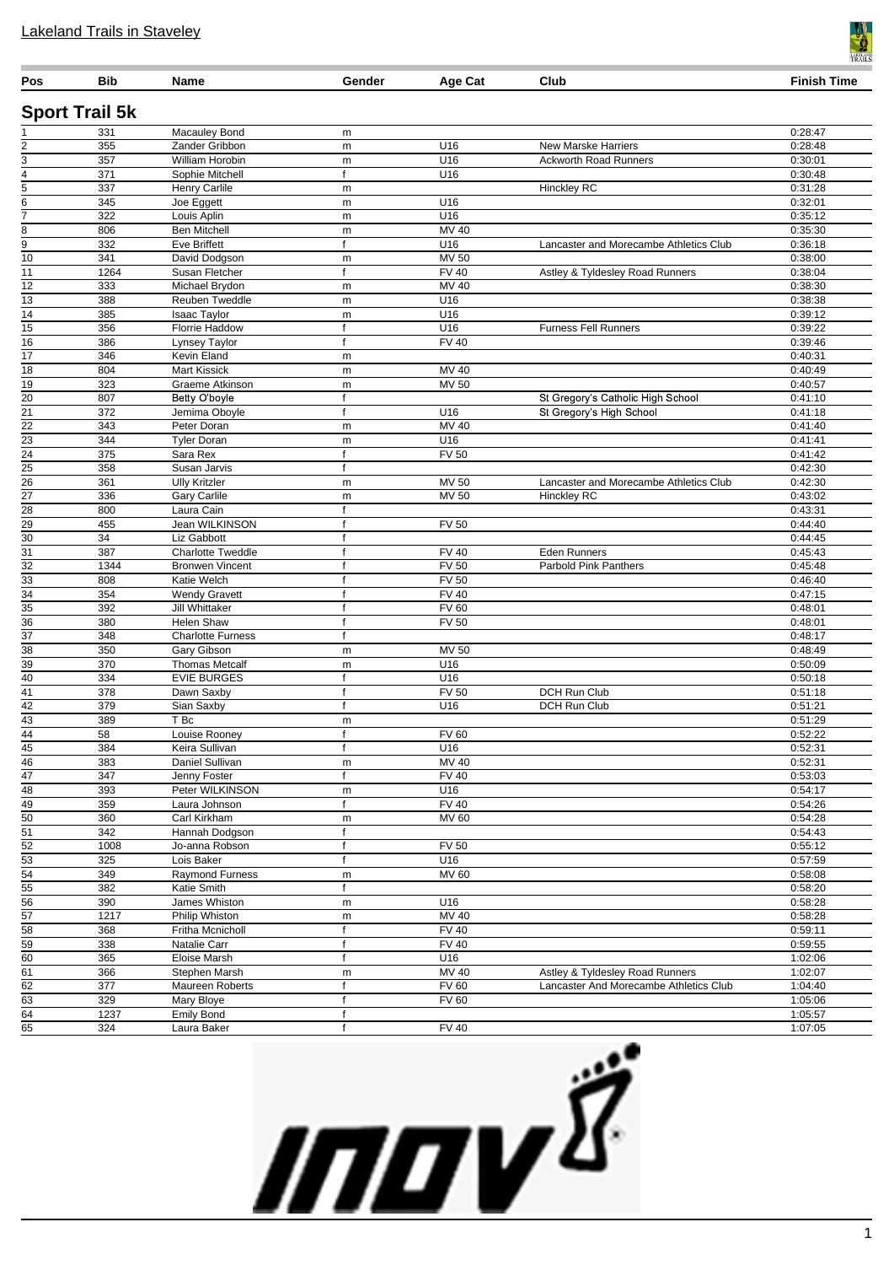| Pos                                | <b>Bib</b>            | <b>Name</b>                          | Gender                      | Age Cat             | Club                                   | <b>Finish Time</b> |
|------------------------------------|-----------------------|--------------------------------------|-----------------------------|---------------------|----------------------------------------|--------------------|
|                                    | <b>Sport Trail 5k</b> |                                      |                             |                     |                                        |                    |
|                                    | 331                   | Macauley Bond                        | m                           |                     |                                        | 0:28:47            |
|                                    | 355                   | Zander Gribbon                       | m                           | U16                 | <b>New Marske Harriers</b>             | 0:28:48            |
| 3                                  | 357                   | William Horobin                      | m                           | U16                 | <b>Ackworth Road Runners</b>           | 0:30:01            |
| 4                                  | 371                   | Sophie Mitchell                      | f                           | U16                 |                                        | 0:30:48            |
| 5                                  | 337                   | Henry Carlile                        | m                           |                     | <b>Hinckley RC</b>                     | 0:31:28            |
| 6                                  | 345                   | Joe Eggett                           | m                           | U16                 |                                        | 0:32:01            |
| $\overline{7}$<br>8                | 322<br>806            | Louis Aplin<br><b>Ben Mitchell</b>   | m                           | U16<br>MV 40        |                                        | 0:35:12<br>0:35:30 |
| $\overline{9}$                     | 332                   | <b>Eve Briffett</b>                  | m<br>f                      | U16                 | Lancaster and Morecambe Athletics Club | 0:36:18            |
| $\overline{10}$                    | 341                   | David Dodgson                        | m                           | $MV$ 50             |                                        | 0:38:00            |
| 11                                 | 1264                  | Susan Fletcher                       | $\mathsf{f}$                | <b>FV 40</b>        | Astley & Tyldesley Road Runners        | 0:38:04            |
| $\overline{12}$                    | 333                   | Michael Brydon                       | m                           | MV 40               |                                        | 0:38:30            |
| 13                                 | 388                   | Reuben Tweddle                       | m                           | U16                 |                                        | 0:38:38            |
| $\overline{14}$                    | 385                   | <b>Isaac Taylor</b>                  | m                           | U16                 |                                        | 0:39:12            |
| $\overline{15}$                    | 356                   | Florrie Haddow                       | f                           | U16                 | <b>Furness Fell Runners</b>            | 0:39:22            |
| 16                                 | 386                   | Lynsey Taylor                        | f                           | <b>FV 40</b>        |                                        | 0:39:46            |
| $\overline{17}$                    | 346                   | Kevin Eland                          | m                           |                     |                                        | 0:40:31            |
| 18                                 | 804                   | <b>Mart Kissick</b>                  | m                           | MV 40               |                                        | 0:40:49            |
| $\overline{19}$                    | 323                   | Graeme Atkinson                      | m                           | $MV$ 50             |                                        | 0:40:57            |
| $\overline{20}$                    | 807                   | Betty O'boyle                        | $\mathsf{f}$                |                     | St Gregory's Catholic High School      | 0:41:10            |
| $\overline{21}$                    | 372                   | Jemima Oboyle                        | f                           | U16                 | St Gregory's High School               | 0:41:18            |
| $\overline{22}$                    | 343                   | Peter Doran                          | m                           | $MV$ 40             |                                        | 0:41:40            |
| $\overline{23}$                    | 344                   | <b>Tyler Doran</b>                   | m                           | U16                 |                                        | 0:41:41            |
| $\overline{24}$                    | 375                   | Sara Rex                             | f                           | <b>FV 50</b>        |                                        | 0:41:42            |
| $\overline{25}$<br>$\overline{26}$ | 358<br>361            | Susan Jarvis<br><b>Ully Kritzler</b> | $\mathsf{f}$                | MV 50               | Lancaster and Morecambe Athletics Club | 0:42:30<br>0:42:30 |
| $\overline{27}$                    | 336                   | <b>Gary Carlile</b>                  | m<br>m                      | MV 50               | <b>Hinckley RC</b>                     | 0:43:02            |
| $\overline{28}$                    | 800                   | Laura Cain                           | f                           |                     |                                        | 0:43:31            |
| $\overline{29}$                    | 455                   | Jean WILKINSON                       | f                           | <b>FV 50</b>        |                                        | 0:44:40            |
| $\overline{30}$                    | 34                    | Liz Gabbott                          | f                           |                     |                                        | 0:44:45            |
| $\overline{31}$                    | 387                   | <b>Charlotte Tweddle</b>             | $\mathsf{f}$                | <b>FV 40</b>        | <b>Eden Runners</b>                    | 0:45:43            |
| $\overline{32}$                    | 1344                  | <b>Bronwen Vincent</b>               | $\mathsf{f}$                | <b>FV 50</b>        | Parbold Pink Panthers                  | 0:45:48            |
| $\overline{33}$                    | 808                   | Katie Welch                          | f                           | <b>FV 50</b>        |                                        | 0:46:40            |
| $\frac{34}{5}$                     | 354                   | <b>Wendy Gravett</b>                 | f                           | <b>FV 40</b>        |                                        | 0:47:15            |
| $\overline{35}$                    | 392                   | Jill Whittaker                       | f                           | <b>FV 60</b>        |                                        | 0:48:01            |
| $\overline{36}$                    | 380                   | <b>Helen Shaw</b>                    | $\mathsf{f}$                | <b>FV 50</b>        |                                        | 0:48:01            |
| $\overline{37}$                    | 348                   | <b>Charlotte Furness</b>             | f                           |                     |                                        | 0:48:17            |
| $\overline{38}$                    | 350                   | Gary Gibson                          | m                           | <b>MV 50</b>        |                                        | 0:48:49            |
| $\overline{39}$                    | 370                   | <b>Thomas Metcalf</b>                | m                           | U16                 |                                        | 0:50:09            |
| $\overline{40}$<br>41              | 334                   | <b>EVIE BURGES</b>                   | $\mathsf{f}$<br>$\mathsf f$ | U16                 |                                        | 0:50:18<br>0:51:18 |
| 42                                 | 378<br>379            | Dawn Saxby<br>Sian Saxby             | f                           | <b>FV 50</b><br>U16 | DCH Run Club<br>DCH Run Club           | 0:51:21            |
| $\overline{43}$                    | 389                   | T Bc                                 | m                           |                     |                                        | 0:51:29            |
| $\overline{44}$                    | 58                    | Louise Rooney                        | f                           | <b>FV 60</b>        |                                        | 0:52:22            |
| $\overline{45}$                    | 384                   | Keira Sullivan                       |                             | U16                 |                                        | 0:52:31            |
| 46                                 | 383                   | Daniel Sullivan                      | m                           | MV 40               |                                        | 0:52:31            |
| $\overline{47}$                    | 347                   | Jenny Foster                         | f                           | <b>FV 40</b>        |                                        | 0:53:03            |
| 48                                 | 393                   | Peter WILKINSON                      | m                           | U16                 |                                        | 0:54:17            |
| $\overline{49}$                    | 359                   | Laura Johnson                        | $\mathsf{f}$                | <b>FV 40</b>        |                                        | 0:54:26            |
| $\overline{50}$                    | 360                   | Carl Kirkham                         | m                           | <b>MV 60</b>        |                                        | 0:54:28            |
| $\overline{51}$                    | 342                   | Hannah Dodgson                       | f                           |                     |                                        | 0:54:43            |
| $\overline{52}$                    | 1008                  | Jo-anna Robson                       | f                           | <b>FV 50</b>        |                                        | 0:55:12            |
| $\overline{53}$                    | 325                   | Lois Baker                           | f                           | U16                 |                                        | 0:57:59            |
| $\overline{54}$                    | 349                   | Raymond Furness                      | m                           | MV 60               |                                        | 0:58:08            |
| $\overline{55}$                    | 382                   | Katie Smith                          | f                           |                     |                                        | 0:58:20            |
| $\overline{56}$<br>$\overline{57}$ | 390<br>1217           | James Whiston<br>Philip Whiston      | m<br>m                      | U16<br>MV 40        |                                        | 0:58:28<br>0:58:28 |
| $\overline{58}$                    | 368                   | Fritha Mcnicholl                     | f                           | <b>FV 40</b>        |                                        | 0:59:11            |
| $\overline{59}$                    | 338                   | Natalie Carr                         | f                           | <b>FV 40</b>        |                                        | 0:59:55            |
| 60                                 | 365                   | Eloise Marsh                         | f                           | U16                 |                                        | 1:02:06            |
| $\overline{61}$                    | 366                   | Stephen Marsh                        | m                           | MV 40               | Astley & Tyldesley Road Runners        | 1:02:07            |
| 62                                 | 377                   | Maureen Roberts                      | f                           | <b>FV 60</b>        | Lancaster And Morecambe Athletics Club | 1:04:40            |
| 63                                 | 329                   | Mary Bloye                           | f                           | <b>FV 60</b>        |                                        | 1:05:06            |
| $\overline{64}$                    | 1237                  | <b>Emily Bond</b>                    | f                           |                     |                                        | 1:05:57            |
| 65                                 | 324                   | Laura Baker                          | $\mathsf{f}$                | <b>FV 40</b>        |                                        | 1:07:05            |



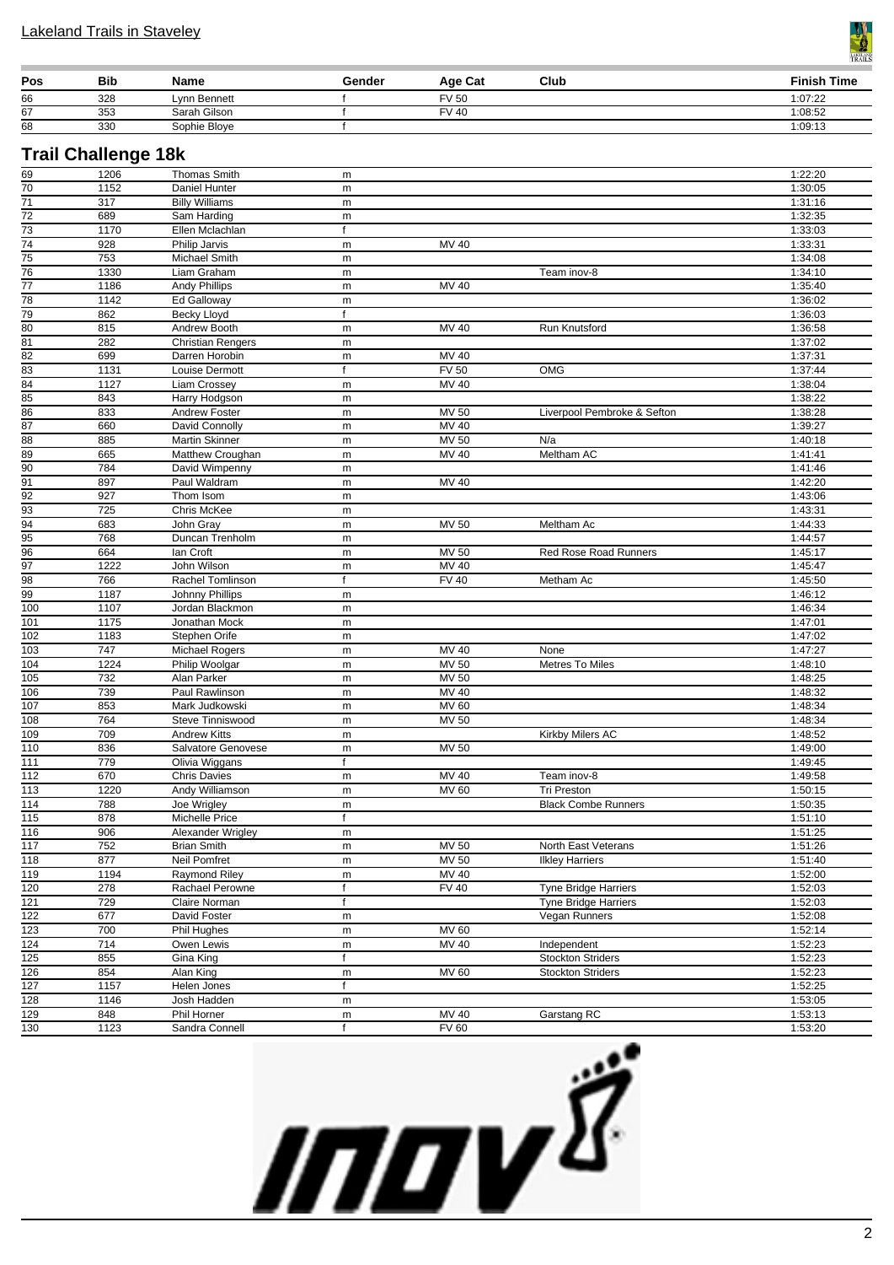

| Pos | Bib | Name         | Gender | Age Cat      | Club | <b>Finish Time</b> |
|-----|-----|--------------|--------|--------------|------|--------------------|
| 66  | 328 | Lynn Bennett |        | <b>FV 50</b> |      | 1:07:22            |
| 67  | 353 | Sarah Gilson |        | <b>FV 40</b> |      | 1:08:52            |
| 68  | 330 | Sophie Bloye |        |              |      | 1:09:13            |

### **Trail Challenge 18k**

| 69                    | 1206       | <b>Thomas Smith</b>        | m                 |                       |                             | 1:22:20            |
|-----------------------|------------|----------------------------|-------------------|-----------------------|-----------------------------|--------------------|
| $\overline{70}$       | 1152       | Daniel Hunter              | ${\sf m}$         |                       |                             | 1:30:05            |
| $\overline{71}$       | 317        | <b>Billy Williams</b>      | ${\sf m}$         |                       |                             | 1:31:16            |
| $\overline{72}$       | 689        | Sam Harding                | ${\sf m}$         |                       |                             | 1:32:35            |
| $\overline{73}$       | 1170       | Ellen Mclachlan            | $\mathsf{f}$      |                       |                             | 1:33:03            |
| $\overline{74}$       | 928        | Philip Jarvis              | m                 | MV 40                 |                             | 1:33:31            |
| $\overline{75}$       | 753        | Michael Smith              | ${\sf m}$         |                       |                             | 1:34:08            |
| $\overline{76}$       | 1330       | Liam Graham                | ${\sf m}$         |                       | Team inov-8                 | 1:34:10            |
| $\overline{77}$       | 1186       | <b>Andy Phillips</b>       | ${\sf m}$         | <b>MV 40</b>          |                             | 1:35:40            |
| 78                    | 1142       |                            |                   |                       |                             | 1:36:02            |
|                       |            | Ed Galloway<br>Becky Lloyd | ${\sf m}$<br>f    |                       |                             |                    |
| 79<br>$\overline{80}$ | 862        |                            |                   | MV 40                 |                             | 1:36:03            |
| $\overline{81}$       | 815<br>282 | Andrew Booth               | m                 |                       | Run Knutsford               | 1:36:58<br>1:37:02 |
| $\overline{82}$       |            | <b>Christian Rengers</b>   | ${\sf m}$         |                       |                             |                    |
| $\overline{83}$       | 699        | Darren Horobin             | m<br>$\mathsf{f}$ | MV 40<br><b>FV 50</b> | <b>OMG</b>                  | 1:37:31            |
|                       | 1131       | Louise Dermott             |                   |                       |                             | 1:37:44            |
| $\overline{84}$       | 1127       | Liam Crossey               | m                 | MV 40                 |                             | 1:38:04            |
| $\overline{85}$       | 843        | Harry Hodgson              | ${\sf m}$         |                       |                             | 1:38:22            |
| 86                    | 833        | Andrew Foster              | ${\sf m}$         | <b>MV 50</b>          | Liverpool Pembroke & Sefton | 1:38:28            |
| $\overline{87}$       | 660        | David Connolly             | ${\sf m}$         | <b>MV 40</b>          |                             | 1:39:27            |
| $\overline{88}$       | 885        | Martin Skinner             | ${\sf m}$         | MV 50                 | N/a                         | 1:40:18            |
| $\overline{89}$       | 665        | Matthew Croughan           | m                 | MV 40                 | Meltham AC                  | 1:41:41            |
| $\overline{90}$       | 784        | David Wimpenny             | ${\sf m}$         |                       |                             | 1:41:46            |
| $\overline{91}$       | 897        | Paul Waldram               | m                 | MV 40                 |                             | 1:42:20            |
| $\overline{92}$       | 927        | Thom Isom                  | m                 |                       |                             | 1:43:06            |
| $\overline{93}$       | 725        | Chris McKee                | ${\sf m}$         |                       |                             | 1:43:31            |
| 94                    | 683        | John Gray                  | ${\sf m}$         | <b>MV 50</b>          | Meltham Ac                  | 1:44:33            |
| 95                    | 768        | Duncan Trenholm            | ${\sf m}$         |                       |                             | 1:44:57            |
| 96                    | 664        | lan Croft                  | m                 | MV 50                 | Red Rose Road Runners       | 1:45:17            |
| $\overline{97}$       | 1222       | John Wilson                | ${\sf m}$         | MV 40                 |                             | 1:45:47            |
| $\overline{98}$       | 766        | Rachel Tomlinson           | f                 | <b>FV 40</b>          | Metham Ac                   | 1:45:50            |
| 99                    | 1187       | <b>Johnny Phillips</b>     | ${\sf m}$         |                       |                             | 1:46:12            |
| 100                   | 1107       | Jordan Blackmon            | m                 |                       |                             | 1:46:34            |
| 101                   | 1175       | Jonathan Mock              | m                 |                       |                             | 1:47:01            |
| $\overline{102}$      | 1183       | Stephen Orife              | m                 |                       |                             | 1:47:02            |
| 103                   | 747        | Michael Rogers             | ${\sf m}$         | MV 40                 | None                        | 1:47:27            |
| 104                   | 1224       | Philip Woolgar             | ${\sf m}$         | <b>MV 50</b>          | <b>Metres To Miles</b>      | 1:48:10            |
| 105                   | 732        | Alan Parker                | m                 | <b>MV 50</b>          |                             | 1:48:25            |
| 106                   | 739        | Paul Rawlinson             | ${\sf m}$         | MV 40                 |                             | 1:48:32            |
| 107                   | 853        | Mark Judkowski             | ${\sf m}$         | <b>MV 60</b>          |                             | 1:48:34            |
| 108                   | 764        | Steve Tinniswood           | ${\sf m}$         | <b>MV 50</b>          |                             | 1:48:34            |
| $\overline{109}$      | 709        | <b>Andrew Kitts</b>        | ${\sf m}$         |                       | Kirkby Milers AC            | 1:48:52            |
| 110                   | 836        | Salvatore Genovese         | ${\sf m}$         | MV 50                 |                             | 1:49:00            |
| 111                   | 779        | Olivia Wiggans             | $\mathsf{f}$      |                       |                             | 1:49:45            |
| 112                   | 670        | <b>Chris Davies</b>        | ${\sf m}$         | MV 40                 | Team inov-8                 | 1:49:58            |
| 113                   | 1220       | Andy Williamson            | ${\sf m}$         | <b>MV 60</b>          | <b>Tri Preston</b>          | 1:50:15            |
| 114                   | 788        | Joe Wrigley                | m                 |                       | <b>Black Combe Runners</b>  | 1:50:35            |
| 115                   | 878        | Michelle Price             | $\mathsf{f}$      |                       |                             | 1:51:10            |
| 116                   | 906        | Alexander Wrigley          | m                 |                       |                             | 1:51:25            |
| 117                   | 752        | <b>Brian Smith</b>         | m                 | <b>MV 50</b>          | North East Veterans         | 1:51:26            |
| $\overline{118}$      | 877        | Neil Pomfret               | ${\sf m}$         | $MV$ 50               | <b>Ilkley Harriers</b>      | 1:51:40            |
| $\overline{119}$      | 1194       | Raymond Riley              | ${\sf m}$         | MV 40                 |                             | 1:52:00            |
| 120                   | 278        | Rachael Perowne            | $\mathsf{f}$      | <b>FV 40</b>          | <b>Tyne Bridge Harriers</b> | 1:52:03            |
| $\overline{121}$      | 729        | Claire Norman              | f                 |                       | <b>Tyne Bridge Harriers</b> | 1:52:03            |
| $\overline{122}$      | 677        | David Foster               | ${\sf m}$         |                       | Vegan Runners               | 1:52:08            |
| $\overline{123}$      | 700        | Phil Hughes                | ${\sf m}$         | MV 60                 |                             | 1:52:14            |
| $\frac{1}{124}$       | 714        | Owen Lewis                 | ${\sf m}$         | <b>MV 40</b>          | Independent                 | 1:52:23            |
| $\overline{125}$      | 855        | Gina King                  | $\mathsf{f}$      |                       | <b>Stockton Striders</b>    | 1:52:23            |
| 126                   | 854        | Alan King                  | ${\sf m}$         | <b>MV 60</b>          | <b>Stockton Striders</b>    | 1:52:23            |
| 127                   | 1157       | Helen Jones                | $\mathsf{f}$      |                       |                             | 1:52:25            |
| $\overline{128}$      | 1146       | Josh Hadden                | ${\sf m}$         |                       |                             | 1:53:05            |
| 129                   | 848        | Phil Horner                | m                 | MV 40                 | Garstang RC                 | 1:53:13            |
| $\overline{130}$      | 1123       | Sandra Connell             | $\mathsf{f}$      | <b>FV 60</b>          |                             | 1:53:20            |
|                       |            |                            |                   |                       |                             |                    |

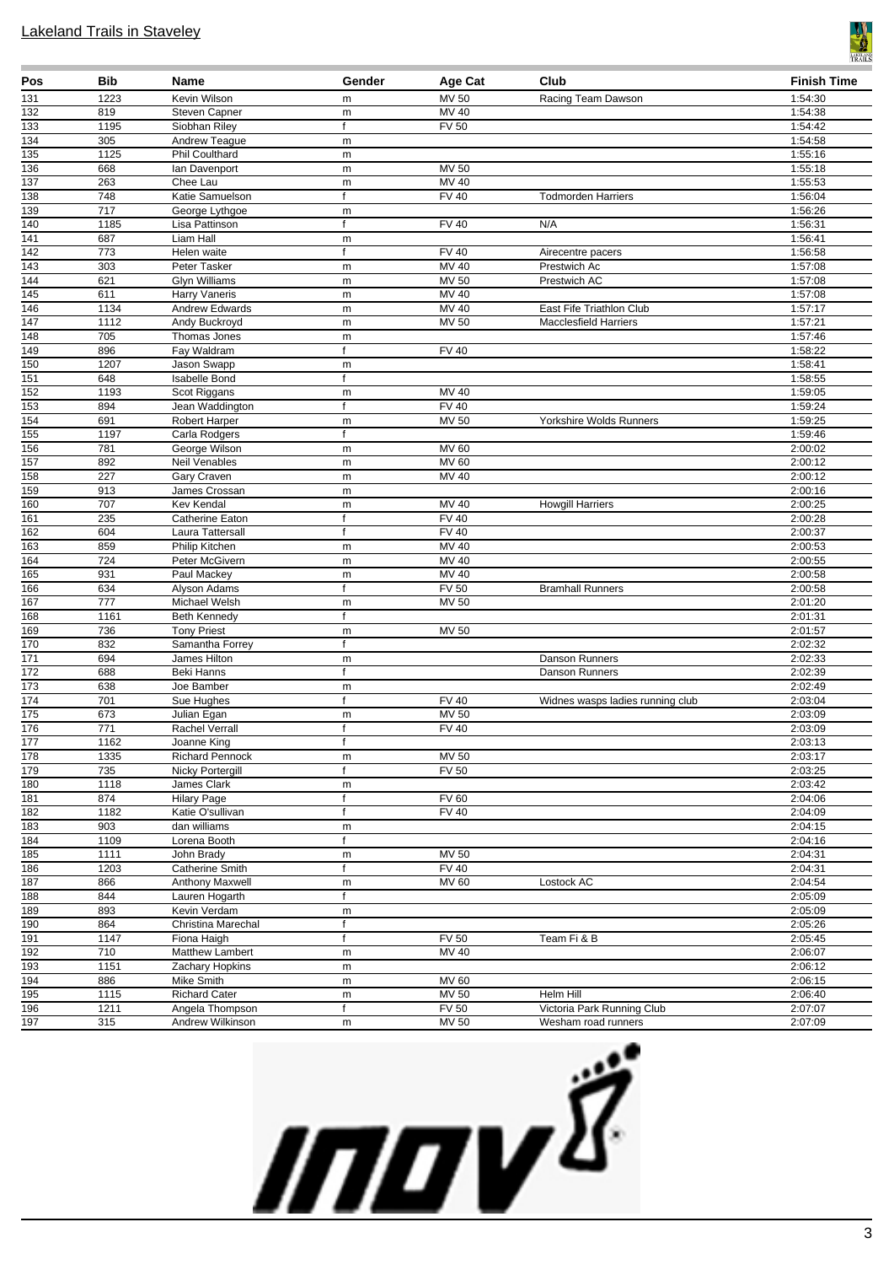

| Pos                     | Bib              | <b>Name</b>                         | Gender            | <b>Age Cat</b>        | Club                             | <b>Finish Time</b> |
|-------------------------|------------------|-------------------------------------|-------------------|-----------------------|----------------------------------|--------------------|
| 131                     | 1223             | Kevin Wilson                        | m                 | MV 50                 | Racing Team Dawson               | 1:54:30            |
| 132                     | 819              | <b>Steven Capner</b>                | m                 | MV 40                 |                                  | 1:54:38            |
| 133                     | 1195             | Siobhan Riley                       | f                 | FV <sub>50</sub>      |                                  | 1:54:42            |
| 134                     | 305              | Andrew Teague                       | m                 |                       |                                  | 1:54:58            |
| 135                     | 1125             | <b>Phil Coulthard</b>               | m                 |                       |                                  | 1:55:16            |
| 136                     | 668              | lan Davenport                       | m                 | <b>MV 50</b>          |                                  | 1:55:18            |
| $\overline{137}$        | 263              | Chee Lau                            | m<br>$\mathbf{f}$ | MV 40                 |                                  | 1:55:53            |
| 138                     | 748<br>717       | Katie Samuelson                     |                   | <b>FV 40</b>          | <b>Todmorden Harriers</b>        | 1:56:04            |
| 139<br>$\overline{140}$ | 1185             | George Lythgoe<br>Lisa Pattinson    | m<br>f            | FV40                  | N/A                              | 1:56:26<br>1:56:31 |
| 141                     | 687              | Liam Hall                           | m                 |                       |                                  | 1:56:41            |
| $\overline{142}$        | 773              | Helen waite                         | f                 | <b>FV 40</b>          | Airecentre pacers                | 1:56:58            |
| 143                     | 303              | Peter Tasker                        | m                 | <b>MV 40</b>          | Prestwich Ac                     | 1:57:08            |
| 144                     | 621              | <b>Glyn Williams</b>                | ${\sf m}$         | <b>MV 50</b>          | Prestwich AC                     | 1:57:08            |
| 145                     | 611              | <b>Harry Vaneris</b>                | m                 | $MV$ 40               |                                  | 1:57:08            |
| 146                     | 1134             | Andrew Edwards                      | m                 | MV 40                 | East Fife Triathlon Club         | 1:57:17            |
| $\overline{147}$        | 1112             | Andy Buckroyd                       | m                 | <b>MV 50</b>          | <b>Macclesfield Harriers</b>     | 1:57:21            |
| 148                     | 705              | Thomas Jones                        | m                 |                       |                                  | 1:57:46            |
| $\overline{149}$        | 896              | Fay Waldram                         | $\mathsf{f}$      | FV40                  |                                  | 1:58:22            |
| 150                     | 1207             | Jason Swapp                         | m                 |                       |                                  | 1:58:41            |
| 151                     | 648              | <b>Isabelle Bond</b>                | f                 |                       |                                  | 1:58:55            |
| 152                     | 1193             | Scot Riggans                        | m                 | MV 40                 |                                  | 1:59:05            |
| 153                     | 894              | Jean Waddington                     | f                 | <b>FV 40</b>          |                                  | 1:59:24            |
| 154                     | 691              | <b>Robert Harper</b>                | m                 | <b>MV 50</b>          | Yorkshire Wolds Runners          | 1:59:25            |
| 155                     | 1197             | Carla Rodgers                       | f                 |                       |                                  | 1:59:46            |
| 156                     | 781<br>892       | George Wilson                       | m                 | MV 60<br><b>MV 60</b> |                                  | 2:00:02            |
| $\overline{157}$<br>158 | 227              | Neil Venables<br><b>Gary Craven</b> | m                 | <b>MV 40</b>          |                                  | 2:00:12<br>2:00:12 |
| 159                     | 913              | James Crossan                       | ${\sf m}$<br>m    |                       |                                  | 2:00:16            |
| 160                     | 707              | Kev Kendal                          | ${\sf m}$         | MV 40                 | <b>Howgill Harriers</b>          | 2:00:25            |
| 161                     | 235              | Catherine Eaton                     | f                 | <b>FV 40</b>          |                                  | 2:00:28            |
| 162                     | 604              | Laura Tattersall                    | f                 | <b>FV 40</b>          |                                  | 2:00:37            |
| 163                     | 859              | Philip Kitchen                      | m                 | <b>MV 40</b>          |                                  | 2:00:53            |
| 164                     | 724              | Peter McGivern                      | m                 | MV 40                 |                                  | 2:00:55            |
| 165                     | 931              | Paul Mackey                         | m                 | <b>MV 40</b>          |                                  | 2:00:58            |
| 166                     | 634              | Alyson Adams                        | f                 | <b>FV 50</b>          | <b>Bramhall Runners</b>          | 2:00:58            |
| 167                     | $\overline{777}$ | Michael Welsh                       | m                 | <b>MV 50</b>          |                                  | 2:01:20            |
| 168                     | 1161             | <b>Beth Kennedy</b>                 | f                 |                       |                                  | 2:01:31            |
| 169                     | 736              | <b>Tony Priest</b>                  | m                 | <b>MV 50</b>          |                                  | 2:01:57            |
| 170                     | 832              | Samantha Forrey                     | $\mathsf{f}$      |                       |                                  | 2:02:32            |
| $\overline{171}$        | 694              | James Hilton                        | m                 |                       | Danson Runners                   | 2:02:33            |
| $\overline{172}$<br>173 | 688<br>638       | Beki Hanns<br>Joe Bamber            | $\mathsf{f}$      |                       | Danson Runners                   | 2:02:39<br>2:02:49 |
| $\overline{174}$        | 701              | Sue Hughes                          | m<br>$\mathsf{f}$ | <b>FV 40</b>          | Widnes wasps ladies running club | 2:03:04            |
| 175                     | 673              | Julian Egan                         | m                 | <b>MV 50</b>          |                                  | 2:03:09            |
| 176                     | $\overline{771}$ | Rachel Verrall                      | $\mathbf f$       | $\overline{FV40}$     |                                  | 2:03:09            |
| $\frac{1}{177}$         | 1162             | Joanne King                         | T                 |                       |                                  | 2:03:13            |
| 178                     | 1335             | <b>Richard Pennock</b>              | m                 | MV 50                 |                                  | 2:03:17            |
| 179                     | 735              | Nicky Portergill                    | f                 | <b>FV 50</b>          |                                  | 2:03:25            |
| 180                     | 1118             | James Clark                         | m                 |                       |                                  | 2:03:42            |
| 181                     | 874              | <b>Hilary Page</b>                  | f                 | <b>FV 60</b>          |                                  | 2:04:06            |
| 182                     | 1182             | Katie O'sullivan                    | $\mathsf{f}$      | <b>FV 40</b>          |                                  | 2:04:09            |
| 183                     | 903              | dan williams                        | m                 |                       |                                  | 2:04:15            |
| 184                     | 1109             | Lorena Booth                        | f                 |                       |                                  | 2:04:16            |
| 185                     | 1111             | John Brady                          | m                 | MV 50                 |                                  | 2:04:31            |
| 186                     | 1203             | Catherine Smith                     | f                 | <b>FV 40</b>          |                                  | 2:04:31            |
| 187                     | 866              | Anthony Maxwell                     | m                 | MV 60                 | Lostock AC                       | 2:04:54<br>2:05:09 |
| 188<br>189              | 844<br>893       | Lauren Hogarth<br>Kevin Verdam      | f                 |                       |                                  | 2:05:09            |
| 190                     | 864              | Christina Marechal                  | m<br>f            |                       |                                  | 2:05:26            |
| 191                     | 1147             | Fiona Haigh                         | $\mathsf{f}$      | <b>FV 50</b>          | Team Fi & B                      | 2:05:45            |
| 192                     | 710              | Matthew Lambert                     | m                 | MV 40                 |                                  | 2:06:07            |
| $\overline{193}$        | 1151             | Zachary Hopkins                     | m                 |                       |                                  | 2:06:12            |
| 194                     | 886              | Mike Smith                          | m                 | MV 60                 |                                  | 2:06:15            |
| 195                     | 1115             | <b>Richard Cater</b>                | m                 | <b>MV 50</b>          | Helm Hill                        | 2:06:40            |
| 196                     | 1211             | Angela Thompson                     | f                 | FV 50                 | Victoria Park Running Club       | 2:07:07            |
| 197                     | 315              | Andrew Wilkinson                    | m                 | <b>MV 50</b>          | Wesham road runners              | 2:07:09            |

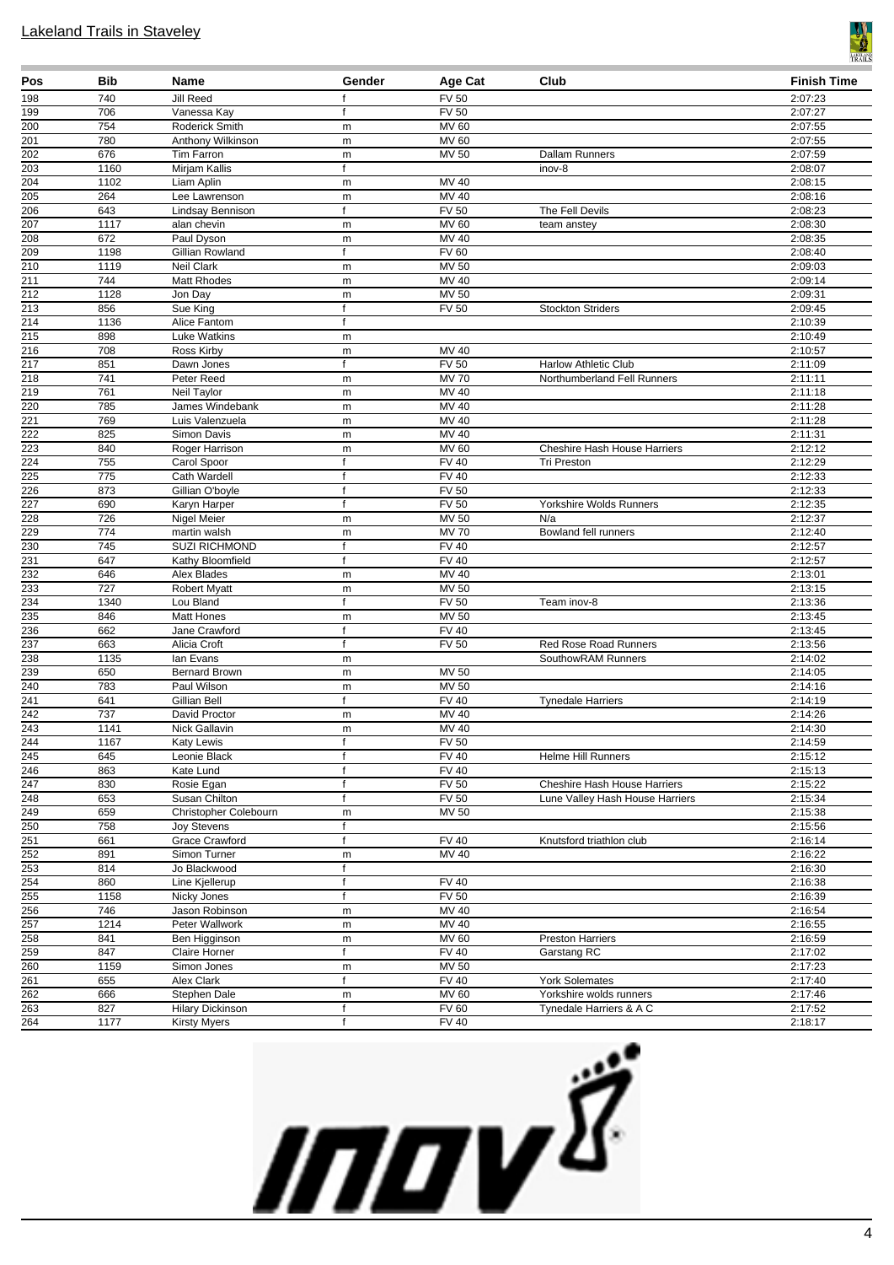

| Pos                     | <b>Bib</b>  | Name                            | Gender            | Age Cat                      | Club                                | <b>Finish Time</b> |
|-------------------------|-------------|---------------------------------|-------------------|------------------------------|-------------------------------------|--------------------|
| 198                     | 740         | Jill Reed                       | f                 | <b>FV 50</b>                 |                                     | 2:07:23            |
| 199                     | 706         | Vanessa Kay                     | f                 | <b>FV 50</b>                 |                                     | 2:07:27            |
| 200                     | 754         | Roderick Smith                  | m                 | MV 60                        |                                     | 2:07:55            |
| 201                     | 780         | Anthony Wilkinson               | m                 | MV 60                        |                                     | 2:07:55            |
| $\frac{1}{202}$         | 676         | Tim Farron                      | m                 | MV 50                        | Dallam Runners                      | 2:07:59            |
| 203                     | 1160        | Mirjam Kallis                   | f                 |                              | inov-8                              | 2:08:07            |
| 204<br>$\overline{205}$ | 1102        | Liam Aplin                      | m                 | MV 40                        |                                     | 2:08:15            |
|                         | 264         | Lee Lawrenson                   | m<br>$\mathsf{f}$ | MV 40<br><b>FV 50</b>        |                                     | 2:08:16            |
| 206<br>207              | 643<br>1117 | Lindsay Bennison<br>alan chevin | m                 | MV 60                        | The Fell Devils<br>team anstey      | 2:08:23<br>2:08:30 |
| 208                     | 672         | Paul Dyson                      | m                 | $\overline{MV}$ 40           |                                     | 2:08:35            |
| 209                     | 1198        | Gillian Rowland                 | f                 | <b>FV 60</b>                 |                                     | 2:08:40            |
| $\overline{210}$        | 1119        | <b>Neil Clark</b>               | m                 | MV 50                        |                                     | 2:09:03            |
| $\overline{211}$        | 744         | Matt Rhodes                     | m                 | <b>MV 40</b>                 |                                     | 2:09:14            |
| $\overline{212}$        | 1128        | Jon Day                         | m                 | <b>MV 50</b>                 |                                     | 2:09:31            |
| 213                     | 856         | Sue King                        | f                 | <b>FV 50</b>                 | <b>Stockton Striders</b>            | 2:09:45            |
| $\frac{1}{214}$         | 1136        | Alice Fantom                    | f                 |                              |                                     | 2:10:39            |
| $\overline{215}$        | 898         | <b>Luke Watkins</b>             | m                 |                              |                                     | 2:10:49            |
| $\overline{216}$        | 708         | Ross Kirby                      | m                 | MV 40                        |                                     | 2:10:57            |
| $\frac{217}{2}$         | 851         | Dawn Jones                      | f                 | <b>FV 50</b>                 | <b>Harlow Athletic Club</b>         | 2:11:09            |
| $\overline{218}$        | 741         | Peter Reed                      | m                 | <b>MV70</b>                  | Northumberland Fell Runners         | 2:11:11            |
| $\overline{219}$        | 761         | Neil Taylor                     | m                 | MV 40                        |                                     | 2:11:18            |
| 220                     | 785         | James Windebank                 | m                 | MV 40                        |                                     | 2:11:28            |
| 221                     | 769         | Luis Valenzuela                 | m                 | MV 40                        |                                     | 2:11:28            |
| 222                     | 825         | Simon Davis                     | m                 | MV 40                        |                                     | 2:11:31            |
| 223                     | 840         | Roger Harrison                  | m                 | MV 60                        | <b>Cheshire Hash House Harriers</b> | 2:12:12            |
| $\overline{224}$        | 755         | Carol Spoor                     | $\mathsf{f}$      | <b>FV 40</b>                 | Tri Preston                         | 2:12:29            |
| 225                     | 775         | Cath Wardell                    | $\mathsf{f}$      | <b>FV 40</b>                 |                                     | 2:12:33            |
| $\frac{226}{ }$<br>227  | 873         | Gillian O'boyle                 | f                 | FV 50                        |                                     | 2:12:33            |
| 228                     | 690<br>726  | Karyn Harper                    | $\mathsf{f}$      | <b>FV 50</b><br><b>MV 50</b> | Yorkshire Wolds Runners<br>N/a      | 2:12:35<br>2:12:37 |
| 229                     | 774         | Nigel Meier<br>martin walsh     | m<br>m            | <b>MV70</b>                  | Bowland fell runners                | 2:12:40            |
| $\frac{230}{ }$         | 745         | <b>SUZI RICHMOND</b>            | $\mathsf f$       | <b>FV 40</b>                 |                                     | 2:12:57            |
| 231                     | 647         | Kathy Bloomfield                | $\mathsf{f}$      | <b>FV 40</b>                 |                                     | 2:12:57            |
| 232                     | 646         | Alex Blades                     | m                 | MV 40                        |                                     | 2:13:01            |
| $\frac{233}{ }$         | 727         | <b>Robert Myatt</b>             | m                 | MV 50                        |                                     | 2:13:15            |
| 234                     | 1340        | Lou Bland                       | $\mathsf{f}$      | <b>FV 50</b>                 | Team inov-8                         | 2:13:36            |
| 235                     | 846         | <b>Matt Hones</b>               | m                 | <b>MV 50</b>                 |                                     | 2:13:45            |
| 236                     | 662         | Jane Crawford                   | f                 | <b>FV 40</b>                 |                                     | 2:13:45            |
| $\frac{237}{ }$         | 663         | Alicia Croft                    | f                 | <b>FV 50</b>                 | <b>Red Rose Road Runners</b>        | 2:13:56            |
| 238                     | 1135        | lan Evans                       | m                 |                              | SouthowRAM Runners                  | 2:14:02            |
| 239                     | 650         | Bernard Brown                   | m                 | <b>MV 50</b>                 |                                     | 2:14:05            |
| $\frac{240}{241}$       | 783         | Paul Wilson                     | m                 | <b>MV 50</b>                 |                                     | 2:14:16            |
|                         | 641         | Gillian Bell                    | $\mathsf{f}$      | <b>FV 40</b>                 | <b>Tynedale Harriers</b>            | 2:14:19            |
| 242                     | 737         | David Proctor                   | m                 | MV 40                        |                                     | 2:14:26            |
| 243                     | 1141        | Nick Gallavin                   | m                 | MV 40                        |                                     | 2:14:30            |
| $\frac{244}{245}$       | 1167        | Katy Lewis                      | f                 | FV 50                        |                                     | 2:14:59            |
|                         | 645         | Leonie Black                    | $\mathsf{f}$      | <b>FV 40</b>                 | <b>Helme Hill Runners</b>           | 2:15:12            |
| 246<br>247              | 863<br>830  | Kate Lund<br>Rosie Egan         | f<br>f            | <b>FV 40</b><br><b>FV 50</b> | Cheshire Hash House Harriers        | 2:15:13<br>2:15:22 |
| 248                     | 653         | Susan Chilton                   | $\mathsf{f}$      | <b>FV 50</b>                 | Lune Valley Hash House Harriers     | 2:15:34            |
| 249                     | 659         | Christopher Colebourn           | m                 | MV 50                        |                                     | 2:15:38            |
| 250                     | 758         | Joy Stevens                     | f                 |                              |                                     | 2:15:56            |
| 251                     | 661         | Grace Crawford                  | f                 | <b>FV 40</b>                 | Knutsford triathlon club            | 2:16:14            |
| 252                     | 891         | Simon Turner                    | m                 | MV 40                        |                                     | 2:16:22            |
|                         | 814         | Jo Blackwood                    | f                 |                              |                                     | 2:16:30            |
| $\frac{253}{254}$       | 860         | Line Kjellerup                  | $\mathsf{f}$      | <b>FV 40</b>                 |                                     | 2:16:38            |
| 255                     | 1158        | Nicky Jones                     | f                 | $FV$ 50                      |                                     | 2:16:39            |
| 256                     | 746         | Jason Robinson                  | m                 | MV 40                        |                                     | 2:16:54            |
| 257                     | 1214        | Peter Wallwork                  | m                 | MV 40                        |                                     | 2:16:55            |
| 258                     | 841         | Ben Higginson                   | m                 | MV 60                        | <b>Preston Harriers</b>             | 2:16:59            |
| 259                     | 847         | Claire Horner                   | f                 | <b>FV 40</b>                 | Garstang RC                         | 2:17:02            |
| 260                     | 1159        | Simon Jones                     | m                 | <b>MV 50</b>                 |                                     | 2:17:23            |
| 261                     | 655         | Alex Clark                      | f                 | <b>FV 40</b>                 | <b>York Solemates</b>               | 2:17:40            |
| 262                     | 666         | Stephen Dale                    | m                 | MV 60                        | Yorkshire wolds runners             | 2:17:46            |
| 263                     | 827         | <b>Hilary Dickinson</b>         | f                 | FV60                         | Tynedale Harriers & A C             | 2:17:52            |
| 264                     | 1177        | <b>Kirsty Myers</b>             | f                 | <b>FV 40</b>                 |                                     | 2:18:17            |

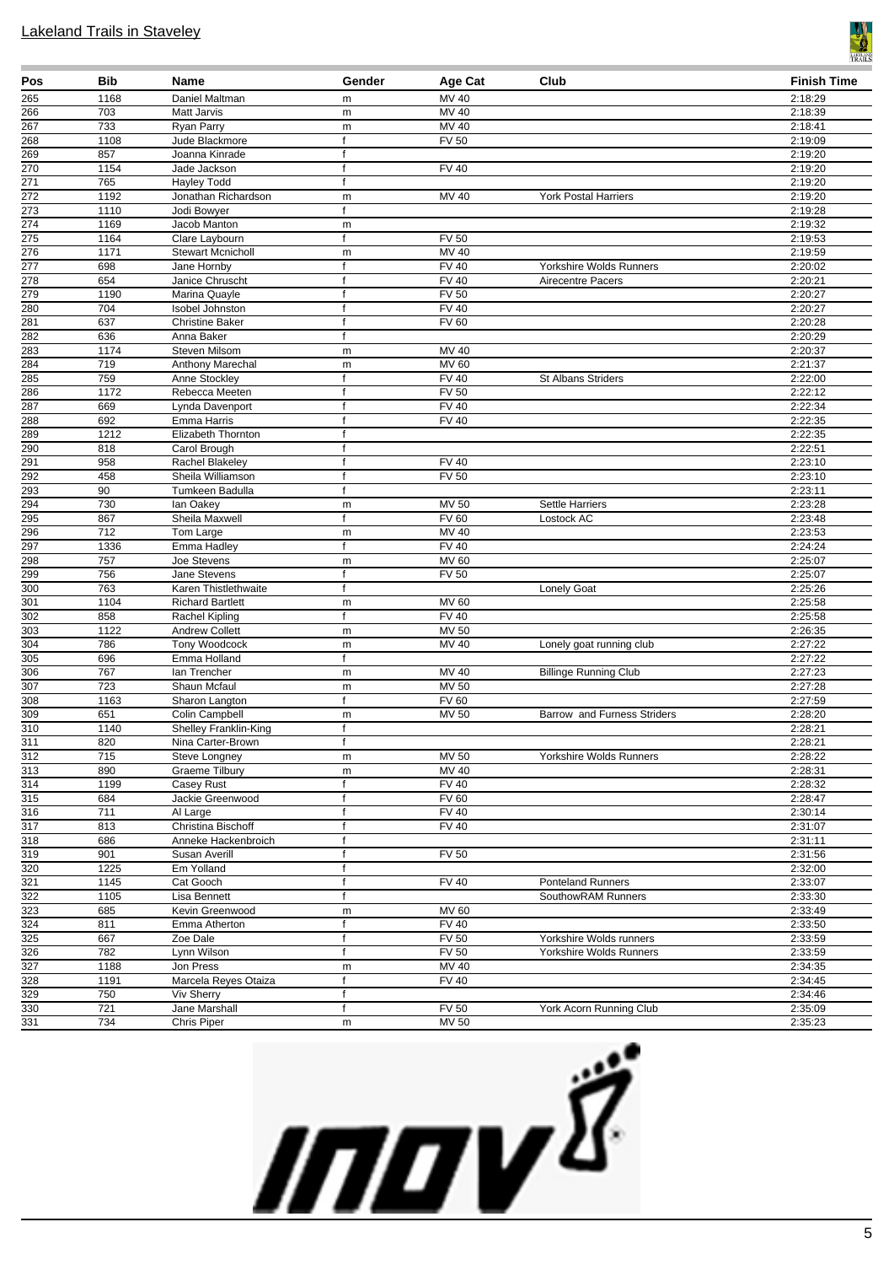

| Pos                                  | Bib         | <b>Name</b>                               | Gender                       | Age Cat                      | Club                         | <b>Finish Time</b> |
|--------------------------------------|-------------|-------------------------------------------|------------------------------|------------------------------|------------------------------|--------------------|
| 265                                  | 1168        | Daniel Maltman                            | m                            | MV 40                        |                              | 2:18:29            |
| $\overline{266}$                     | 703         | Matt Jarvis                               | ${\sf m}$                    | MV 40                        |                              | 2:18:39            |
| 267                                  | 733         | Ryan Parry                                | m                            | MV 40                        |                              | 2:18:41            |
| 268<br>269                           | 1108<br>857 | Jude Blackmore                            | $\mathsf{f}$<br>$\mathsf{f}$ | <b>FV 50</b>                 |                              | 2:19:09<br>2:19:20 |
| 270                                  | 1154        | Joanna Kinrade<br>Jade Jackson            | $\mathsf f$                  | <b>FV 40</b>                 |                              | 2:19:20            |
| $\frac{271}{271}$                    | 765         | <b>Hayley Todd</b>                        | $\mathsf{f}$                 |                              |                              | 2:19:20            |
| $\overline{272}$                     | 1192        | Jonathan Richardson                       | ${\sf m}$                    | MV 40                        | <b>York Postal Harriers</b>  | 2:19:20            |
| $\frac{273}{ }$                      | 1110        | Jodi Bowyer                               | $\mathsf{f}$                 |                              |                              | 2:19:28            |
| 274                                  | 1169        | Jacob Manton                              | m                            |                              |                              | 2:19:32            |
| $\overline{275}$                     | 1164        | Clare Laybourn                            | $\mathsf{f}$                 | <b>FV 50</b>                 |                              | 2:19:53            |
| 276                                  | 1171        | <b>Stewart Mcnicholl</b>                  | ${\sf m}$                    | MV 40                        |                              | 2:19:59            |
| $\frac{277}{278}$                    | 698         | Jane Hornby                               | f                            | <b>FV 40</b>                 | Yorkshire Wolds Runners      | 2:20:02            |
|                                      | 654         | Janice Chruscht                           | f                            | <b>FV 40</b>                 | Airecentre Pacers            | 2:20:21            |
| 279                                  | 1190        | Marina Quayle                             | f                            | <b>FV 50</b>                 |                              | 2:20:27            |
| 280<br>281                           | 704<br>637  | Isobel Johnston<br><b>Christine Baker</b> | f<br>f                       | <b>FV 40</b><br><b>FV 60</b> |                              | 2:20:27<br>2:20:28 |
| 282                                  | 636         | Anna Baker                                | f                            |                              |                              | 2:20:29            |
| 283                                  | 1174        | Steven Milsom                             | ${\sf m}$                    | MV 40                        |                              | 2:20:37            |
| 284                                  | 719         | Anthony Marechal                          | ${\sf m}$                    | <b>MV 60</b>                 |                              | 2:21:37            |
| 285                                  | 759         | Anne Stockley                             | f                            | <b>FV 40</b>                 | St Albans Striders           | 2:22:00            |
| $\frac{286}{287}$                    | 1172        | Rebecca Meeten                            | f                            | <b>FV 50</b>                 |                              | 2:22:12            |
|                                      | 669         | Lynda Davenport                           | $\mathsf{f}$                 | <b>FV 40</b>                 |                              | 2:22:34            |
| 288                                  | 692         | Emma Harris                               | $\mathsf{f}$                 | $\overline{F}$ V 40          |                              | 2:22:35            |
| 289                                  | 1212        | Elizabeth Thornton                        | $\mathsf f$                  |                              |                              | 2:22:35            |
| 290                                  | 818         | Carol Brough                              | f                            |                              |                              | 2:22:51            |
| $\frac{291}{ }$<br>292               | 958         | Rachel Blakeley                           | f                            | <b>FV 40</b>                 |                              | 2:23:10            |
|                                      | 458         | Sheila Williamson                         | f<br>f                       | <b>FV 50</b>                 |                              | 2:23:10            |
| $\frac{293}{294}$                    | 90<br>730   | Tumkeen Badulla<br>lan Oakey              | ${\sf m}$                    | MV 50                        | Settle Harriers              | 2:23:11<br>2:23:28 |
|                                      | 867         | Sheila Maxwell                            | $\mathsf{f}$                 | <b>FV 60</b>                 | Lostock AC                   | 2:23:48            |
| 295<br>296                           | 712         | Tom Large                                 | m                            | MV 40                        |                              | 2:23:53            |
| 297                                  | 1336        | Emma Hadley                               | $\mathsf{f}$                 | FV 40                        |                              | 2:24:24            |
| $\overline{298}$                     | 757         | Joe Stevens                               | ${\sf m}$                    | MV 60                        |                              | 2:25:07            |
| $\frac{299}{ }$                      | 756         | Jane Stevens                              | f                            | <b>FV 50</b>                 |                              | 2:25:07            |
| 300                                  | 763         | Karen Thistlethwaite                      | f                            |                              | Lonely Goat                  | 2:25:26            |
| 301                                  | 1104        | <b>Richard Bartlett</b>                   | ${\sf m}$                    | <b>MV 60</b>                 |                              | 2:25:58            |
| $\overline{302}$                     | 858         | Rachel Kipling                            | $\mathsf{f}$                 | <b>FV 40</b>                 |                              | 2:25:58            |
| $\overline{303}$<br>304              | 1122        | <b>Andrew Collett</b>                     | ${\sf m}$                    | <b>MV 50</b>                 |                              | 2:26:35            |
| $\overline{305}$                     | 786<br>696  | Tony Woodcock<br>Emma Holland             | ${\sf m}$<br>f               | MV 40                        | Lonely goat running club     | 2:27:22<br>2:27:22 |
| $\overline{306}$                     | 767         | lan Trencher                              | ${\sf m}$                    | $MV$ 40                      | <b>Billinge Running Club</b> | 2:27:23            |
| 307                                  | 723         | Shaun Mcfaul                              | m                            | <b>MV 50</b>                 |                              | 2:27:28            |
| $\overline{308}$                     | 1163        | Sharon Langton                            | f                            | <b>FV 60</b>                 |                              | 2:27:59            |
| 309                                  | 651         | Colin Campbell                            | ${\sf m}$                    | MV 50                        | Barrow and Furness Striders  | 2:28:20            |
| $\overline{310}$                     | 1140        | Shelley Franklin-King                     | $\mathsf{f}$                 |                              |                              | 2:28:21            |
| 311                                  | 820         | Nina Carter-Brown                         | Ť.                           |                              |                              | 2:28:21            |
| 312                                  | 715         | Steve Longney                             | m                            | <b>MV 50</b>                 | Yorkshire Wolds Runners      | 2:28:22            |
| 313                                  | 890         | <b>Graeme Tilbury</b>                     | ${\sf m}$                    | MV 40                        |                              | 2:28:31            |
| $\overline{314}$                     | 1199        | Casey Rust                                | f                            | <b>FV 40</b>                 |                              | 2:28:32            |
| $\overline{315}$<br>$\overline{316}$ | 684<br>711  | Jackie Greenwood                          | f<br>$\mathsf{f}$            | <b>FV 60</b><br><b>FV 40</b> |                              | 2:28:47<br>2:30:14 |
| $\overline{317}$                     | 813         | Al Large<br>Christina Bischoff            | $\mathsf{f}$                 | <b>FV 40</b>                 |                              | 2:31:07            |
| $\overline{318}$                     | 686         | Anneke Hackenbroich                       | f                            |                              |                              | 2:31:11            |
| $\overline{319}$                     | 901         | Susan Averill                             | f                            | <b>FV 50</b>                 |                              | 2:31:56            |
| 320                                  | 1225        | Em Yolland                                | f                            |                              |                              | 2:32:00            |
| 321                                  | 1145        | Cat Gooch                                 | $\mathsf{f}$                 | <b>FV 40</b>                 | Ponteland Runners            | 2:33:07            |
| $\overline{322}$                     | 1105        | Lisa Bennett                              | f                            |                              | SouthowRAM Runners           | 2:33:30            |
| 323                                  | 685         | Kevin Greenwood                           | ${\sf m}$                    | MV 60                        |                              | 2:33:49            |
| $\overline{324}$                     | 811         | Emma Atherton                             | f                            | <b>FV 40</b>                 |                              | 2:33:50            |
| 325                                  | 667         | Zoe Dale                                  | $\mathsf{f}$                 | <b>FV 50</b>                 | Yorkshire Wolds runners      | 2:33:59            |
| $\overline{326}$                     | 782         | Lynn Wilson                               | $\mathsf{f}$                 | $\overline{FV}$ 50           | Yorkshire Wolds Runners      | 2:33:59            |
| 327                                  | 1188        | Jon Press                                 | ${\sf m}$                    | MV 40                        |                              | 2:34:35            |
| $\overline{328}$<br>329              | 1191<br>750 | Marcela Reyes Otaiza<br>Viv Sherry        | f<br>f                       | <b>FV 40</b>                 |                              | 2:34:45<br>2:34:46 |
| 330                                  | 721         | Jane Marshall                             | f                            | <b>FV 50</b>                 | York Acorn Running Club      | 2:35:09            |
| $\overline{331}$                     | 734         | Chris Piper                               | m                            | MV 50                        |                              | 2:35:23            |
|                                      |             |                                           |                              |                              |                              |                    |

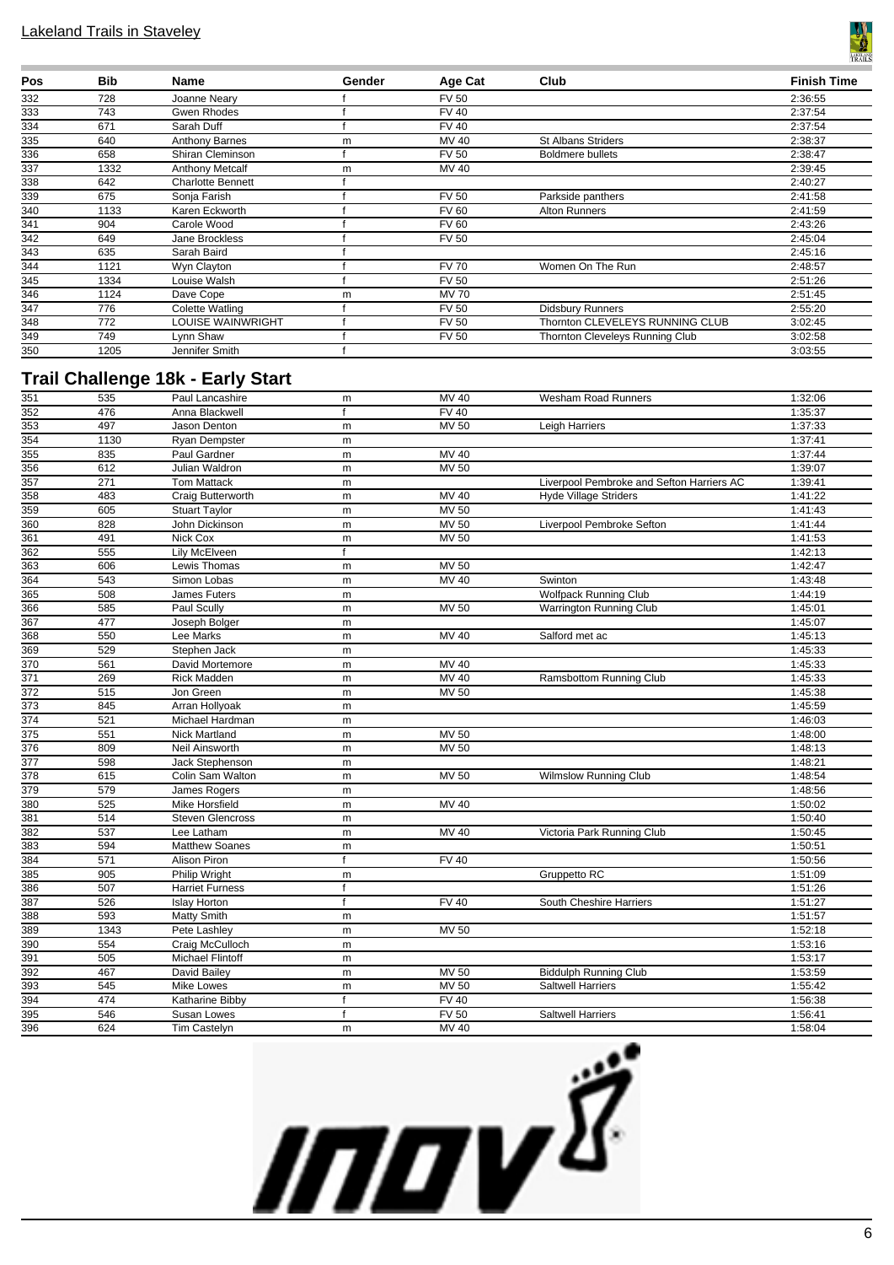

| Pos | <b>Bib</b> | Name                     | Gender | Age Cat      | Club                            | <b>Finish Time</b> |
|-----|------------|--------------------------|--------|--------------|---------------------------------|--------------------|
| 332 | 728        | Joanne Neary             |        | <b>FV 50</b> |                                 | 2:36:55            |
| 333 | 743        | Gwen Rhodes              |        | <b>FV 40</b> |                                 | 2:37:54            |
| 334 | 671        | Sarah Duff               |        | <b>FV 40</b> |                                 | 2:37:54            |
| 335 | 640        | <b>Anthony Barnes</b>    | m      | MV 40        | <b>St Albans Striders</b>       | 2:38:37            |
| 336 | 658        | Shiran Cleminson         |        | <b>FV 50</b> | <b>Boldmere bullets</b>         | 2:38:47            |
| 337 | 1332       | <b>Anthony Metcalf</b>   | m      | MV 40        |                                 | 2:39:45            |
| 338 | 642        | <b>Charlotte Bennett</b> |        |              |                                 | 2:40:27            |
| 339 | 675        | Sonja Farish             |        | <b>FV 50</b> | Parkside panthers               | 2:41:58            |
| 340 | 1133       | Karen Eckworth           |        | <b>FV 60</b> | Alton Runners                   | 2:41:59            |
| 341 | 904        | Carole Wood              |        | <b>FV 60</b> |                                 | 2:43:26            |
| 342 | 649        | Jane Brockless           |        | <b>FV 50</b> |                                 | 2:45:04            |
| 343 | 635        | Sarah Baird              |        |              |                                 | 2:45:16            |
| 344 | 1121       | Wyn Clayton              |        | <b>FV 70</b> | Women On The Run                | 2:48:57            |
| 345 | 1334       | Louise Walsh             |        | <b>FV 50</b> |                                 | 2:51:26            |
| 346 | 1124       | Dave Cope                | m      | <b>MV 70</b> |                                 | 2:51:45            |
| 347 | 776        | Colette Watling          |        | <b>FV 50</b> | <b>Didsbury Runners</b>         | 2:55:20            |
| 348 | 772        | <b>LOUISE WAINWRIGHT</b> |        | <b>FV 50</b> | Thornton CLEVELEYS RUNNING CLUB | 3:02:45            |
| 349 | 749        | Lynn Shaw                |        | <b>FV 50</b> | Thornton Cleveleys Running Club | 3:02:58            |
| 350 | 1205       | Jennifer Smith           |        |              |                                 | 3:03:55            |

### **Trail Challenge 18k - Early Start**

| 351              | 535  | Paul Lancashire         | m            | MV 40            | <b>Wesham Road Runners</b>                | 1:32:06 |
|------------------|------|-------------------------|--------------|------------------|-------------------------------------------|---------|
| 352              | 476  | Anna Blackwell          | $\mathsf{f}$ | <b>FV40</b>      |                                           | 1:35:37 |
| 353              | 497  | Jason Denton            | m            | MV 50            | Leigh Harriers                            | 1:37:33 |
| 354              | 1130 | Ryan Dempster           | ${\sf m}$    |                  |                                           | 1:37:41 |
| 355              | 835  | Paul Gardner            | ${\sf m}$    | <b>MV 40</b>     |                                           | 1:37:44 |
| 356              | 612  | Julian Waldron          | m            | <b>MV 50</b>     |                                           | 1:39:07 |
| 357              | 271  | <b>Tom Mattack</b>      | ${\sf m}$    |                  | Liverpool Pembroke and Sefton Harriers AC | 1:39:41 |
| 358              | 483  | Craig Butterworth       | ${\sf m}$    | $MV$ 40          | <b>Hyde Village Striders</b>              | 1:41:22 |
| 359              | 605  | <b>Stuart Taylor</b>    | m            | <b>MV 50</b>     |                                           | 1:41:43 |
| 360              | 828  | John Dickinson          | m            | <b>MV 50</b>     | Liverpool Pembroke Sefton                 | 1:41:44 |
| 361              | 491  | Nick Cox                | m            | <b>MV 50</b>     |                                           | 1:41:53 |
| 362              | 555  | Lily McElveen           | $\mathsf{f}$ |                  |                                           | 1:42:13 |
| 363              | 606  | Lewis Thomas            | m            | <b>MV 50</b>     |                                           | 1:42:47 |
| 364              | 543  | Simon Lobas             | m            | MV 40            | Swinton                                   | 1:43:48 |
| 365              | 508  | James Futers            | ${\sf m}$    |                  | <b>Wolfpack Running Club</b>              | 1:44:19 |
| 366              | 585  | Paul Scully             | m            | MV 50            | Warrington Running Club                   | 1:45:01 |
| 367              | 477  | Joseph Bolger           | m            |                  |                                           | 1:45:07 |
| 368              | 550  | Lee Marks               | ${\sf m}$    | MV 40            | Salford met ac                            | 1:45:13 |
| 369              | 529  | Stephen Jack            | m            |                  |                                           | 1:45:33 |
| $\overline{370}$ | 561  | David Mortemore         | m            | MV 40            |                                           | 1:45:33 |
| $\overline{371}$ | 269  | <b>Rick Madden</b>      | m            | <b>MV 40</b>     | Ramsbottom Running Club                   | 1:45:33 |
| 372              | 515  | Jon Green               | m            | MV 50            |                                           | 1:45:38 |
| 373              | 845  | Arran Hollyoak          | m            |                  |                                           | 1:45:59 |
| $\overline{374}$ | 521  | Michael Hardman         | m            |                  |                                           | 1:46:03 |
| 375              | 551  | Nick Martland           | m            | <b>MV 50</b>     |                                           | 1:48:00 |
| 376              | 809  | Neil Ainsworth          | ${\sf m}$    | <b>MV 50</b>     |                                           | 1:48:13 |
| $\overline{377}$ | 598  | Jack Stephenson         | m            |                  |                                           | 1:48:21 |
| $\overline{378}$ | 615  | Colin Sam Walton        | m            | <b>MV 50</b>     | <b>Wilmslow Running Club</b>              | 1:48:54 |
| $\overline{379}$ | 579  | James Rogers            | m            |                  |                                           | 1:48:56 |
| 380              | 525  | <b>Mike Horsfield</b>   | m            | MV 40            |                                           | 1:50:02 |
| 381              | 514  | <b>Steven Glencross</b> | m            |                  |                                           | 1:50:40 |
| 382              | 537  | Lee Latham              | m            | <b>MV 40</b>     | Victoria Park Running Club                | 1:50:45 |
| 383              | 594  | Matthew Soanes          | ${\sf m}$    |                  |                                           | 1:50:51 |
| 384              | 571  | Alison Piron            | $\mathsf{f}$ | <b>FV 40</b>     |                                           | 1:50:56 |
| 385              | 905  | Philip Wright           | m            |                  | <b>Gruppetto RC</b>                       | 1:51:09 |
| 386              | 507  | <b>Harriet Furness</b>  | $\mathsf{f}$ |                  |                                           | 1:51:26 |
| 387              | 526  | <b>Islay Horton</b>     | f            | <b>FV 40</b>     | South Cheshire Harriers                   | 1:51:27 |
| 388              | 593  | Matty Smith             | m            |                  |                                           | 1:51:57 |
| 389              | 1343 | Pete Lashley            | m            | <b>MV 50</b>     |                                           | 1:52:18 |
| 390              | 554  | Craig McCulloch         | ${\sf m}$    |                  |                                           | 1:53:16 |
| 391              | 505  | <b>Michael Flintoff</b> | m            |                  |                                           | 1:53:17 |
| 392              | 467  | David Bailey            | m            | <b>MV 50</b>     | <b>Biddulph Running Club</b>              | 1:53:59 |
| 393              | 545  | <b>Mike Lowes</b>       | m            | <b>MV 50</b>     | <b>Saltwell Harriers</b>                  | 1:55:42 |
| 394              | 474  | Katharine Bibby         | $\mathsf{f}$ | <b>FV 40</b>     |                                           | 1:56:38 |
| 395              | 546  | Susan Lowes             | $\mathsf{f}$ | FV <sub>50</sub> | <b>Saltwell Harriers</b>                  | 1:56:41 |
| 396              | 624  | <b>Tim Castelyn</b>     | m            | <b>MV 40</b>     |                                           | 1:58:04 |
|                  |      |                         |              |                  |                                           |         |

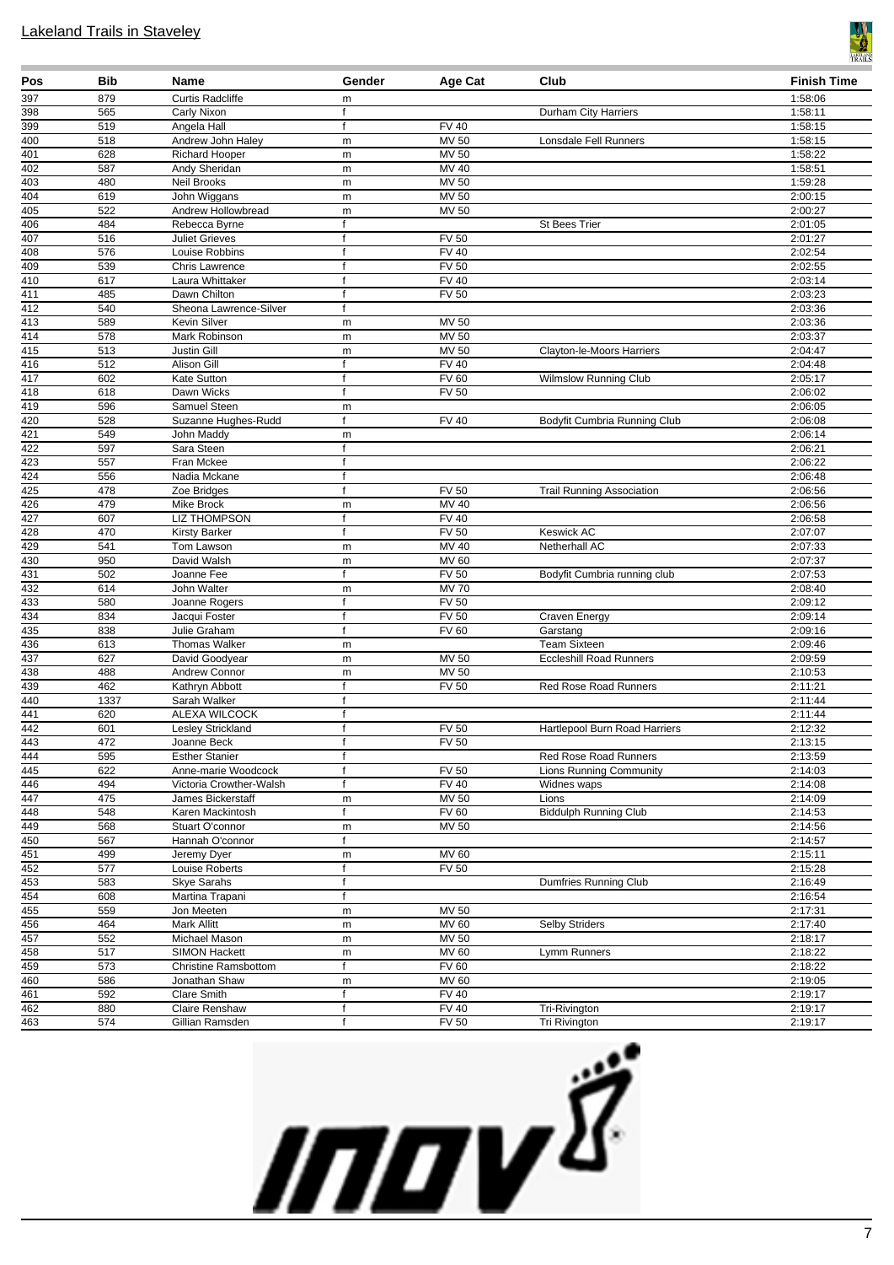

| Pos                     | Bib        | Name                             | Gender       | Age Cat            | Club                             | <b>Finish Time</b> |
|-------------------------|------------|----------------------------------|--------------|--------------------|----------------------------------|--------------------|
| 397                     | 879        | <b>Curtis Radcliffe</b>          | m            |                    |                                  | 1:58:06            |
| 398                     | 565        | Carly Nixon                      | f            |                    | Durham City Harriers             | 1:58:11            |
| 399                     | 519        | Angela Hall                      | f            | <b>FV 40</b>       |                                  | 1:58:15            |
| $\overline{400}$        | 518        | Andrew John Haley                | m            | MV 50              | Lonsdale Fell Runners            | 1:58:15            |
| $\overline{401}$        | 628        | <b>Richard Hooper</b>            | m            | <b>MV 50</b>       |                                  | 1:58:22            |
| 402                     | 587        | Andy Sheridan                    | m            | MV 40              |                                  | 1:58:51            |
| 403                     | 480        | Neil Brooks                      | m            | $MV$ 50            |                                  | 1:59:28            |
| 404                     | 619        | John Wiggans                     | m            | <b>MV 50</b>       |                                  | 2:00:15            |
| $\overline{405}$<br>406 | 522<br>484 | Andrew Hollowbread               | m<br>f       | MV 50              | <b>St Bees Trier</b>             | 2:00:27<br>2:01:05 |
| 407                     |            | Rebecca Byrne                    | f            | $\overline{FV}$ 50 |                                  |                    |
| $\overline{408}$        | 516<br>576 | <b>Juliet Grieves</b>            | f            | <b>FV 40</b>       |                                  | 2:01:27<br>2:02:54 |
| 409                     | 539        | Louise Robbins<br>Chris Lawrence | $\mathsf{f}$ | <b>FV 50</b>       |                                  | 2:02:55            |
| 410                     | 617        | Laura Whittaker                  | $\mathsf{f}$ | <b>FV 40</b>       |                                  | 2:03:14            |
| 411                     | 485        | Dawn Chilton                     | f            | <b>FV 50</b>       |                                  | 2:03:23            |
| 412                     | 540        | Sheona Lawrence-Silver           | f            |                    |                                  | 2:03:36            |
| 413                     | 589        | Kevin Silver                     | m            | <b>MV 50</b>       |                                  | 2:03:36            |
| 414                     | 578        | Mark Robinson                    | m            | MV 50              |                                  | 2:03:37            |
| $\overline{415}$        | 513        | Justin Gill                      |              | <b>MV 50</b>       | Clayton-le-Moors Harriers        | 2:04:47            |
| 416                     | 512        | Alison Gill                      | m<br>f       | <b>FV 40</b>       |                                  | 2:04:48            |
| 417                     | 602        | Kate Sutton                      | f            | <b>FV 60</b>       | <b>Wilmslow Running Club</b>     | 2:05:17            |
| 418                     | 618        | Dawn Wicks                       | f            | <b>FV 50</b>       |                                  | 2:06:02            |
| 419                     | 596        | Samuel Steen                     | m            |                    |                                  | 2:06:05            |
| 420                     | 528        | Suzanne Hughes-Rudd              | f            | <b>FV 40</b>       | Bodyfit Cumbria Running Club     | 2:06:08            |
| 421                     | 549        | John Maddy                       | m            |                    |                                  | 2:06:14            |
| 422                     | 597        | Sara Steen                       | f            |                    |                                  | 2:06:21            |
| 423                     | 557        | Fran Mckee                       | f            |                    |                                  | 2:06:22            |
| 424                     | 556        | Nadia Mckane                     | $\mathsf{f}$ |                    |                                  | 2:06:48            |
| 425                     | 478        | Zoe Bridges                      | f            | <b>FV 50</b>       | <b>Trail Running Association</b> | 2:06:56            |
| 426                     | 479        | Mike Brock                       | m            | MV 40              |                                  | 2:06:56            |
| 427                     | 607        | <b>LIZ THOMPSON</b>              | f            | <b>FV 40</b>       |                                  | 2:06:58            |
| 428                     | 470        | Kirsty Barker                    | f            | FV <sub>50</sub>   | <b>Keswick AC</b>                | 2:07:07            |
| 429                     | 541        | Tom Lawson                       | m            | MV 40              | Netherhall AC                    | 2:07:33            |
| 430                     | 950        | David Walsh                      | m            | <b>MV 60</b>       |                                  | 2:07:37            |
| 431                     | 502        | Joanne Fee                       | $\mathsf{f}$ | <b>FV 50</b>       | Bodyfit Cumbria running club     | 2:07:53            |
| 432                     | 614        | John Walter                      | m            | <b>MV70</b>        |                                  | 2:08:40            |
| 433                     | 580        | Joanne Rogers                    | f            | <b>FV 50</b>       |                                  | 2:09:12            |
| 434                     | 834        | Jacqui Foster                    | f            | <b>FV 50</b>       | <b>Craven Energy</b>             | 2:09:14            |
| 435                     | 838        | Julie Graham                     | f            | FV60               | Garstang                         | 2:09:16            |
| 436                     | 613        | <b>Thomas Walker</b>             | m            |                    | <b>Team Sixteen</b>              | 2:09:46            |
| 437                     | 627        | David Goodyear                   | m            | MV 50              | <b>Eccleshill Road Runners</b>   | 2:09:59            |
| 438                     | 488        | Andrew Connor                    | m            | MV 50              |                                  | 2:10:53            |
| 439                     | 462        | Kathryn Abbott                   | f            | <b>FV 50</b>       | Red Rose Road Runners            | 2:11:21            |
| 440                     | 1337       | Sarah Walker                     | $\mathsf{f}$ |                    |                                  | 2:11:44            |
| 441                     | 620        | ALEXA WILCOCK                    | f            |                    |                                  | 2:11:44            |
| 442                     | 601        | Lesley Strickland                | $\mathsf{f}$ | <b>FV 50</b>       | Hartlepool Burn Road Harriers    | 2:12:32            |
| 443                     | 472        | Joanne Beck                      | f            | <b>FV 50</b>       |                                  | 2:13:15            |
| 444                     | 595        | <b>Esther Stanier</b>            | f            |                    | Red Rose Road Runners            | 2:13:59            |
| 445                     | 622        | Anne-marie Woodcock              | f            | <b>FV 50</b>       | <b>Lions Running Community</b>   | 2:14:03            |
| 446                     | 494        | Victoria Crowther-Walsh          | f            | <b>FV 40</b>       | Widnes waps                      | 2:14:08            |
| 447                     | 475        | James Bickerstaff                | m            | <b>MV 50</b>       | Lions                            | 2:14:09            |
| 448                     | 548        | Karen Mackintosh                 | f            | <b>FV 60</b>       | <b>Biddulph Running Club</b>     | 2:14:53            |
| 449                     | 568        | Stuart O'connor                  | m            | <b>MV 50</b>       |                                  | 2:14:56            |
| 450                     | 567        | Hannah O'connor                  | f            |                    |                                  | 2:14:57            |
| 451                     | 499        | Jeremy Dyer                      | m            | <b>MV 60</b>       |                                  | 2:15:11            |
| 452                     | 577        | Louise Roberts                   | f            | <b>FV 50</b>       |                                  | 2:15:28            |
| 453                     | 583        | <b>Skye Sarahs</b>               | f            |                    | Dumfries Running Club            | 2:16:49            |
| 454                     | 608        | Martina Trapani                  | f            |                    |                                  | 2:16:54            |
| 455                     | 559        | Jon Meeten                       | m            | MV 50              |                                  | 2:17:31            |
| 456                     | 464        | <b>Mark Allitt</b>               | ${\sf m}$    | MV 60              | <b>Selby Striders</b>            | 2:17:40            |
| 457                     | 552        | Michael Mason                    | m            | <b>MV 50</b>       |                                  | 2:18:17            |
| 458                     | 517        | <b>SIMON Hackett</b>             | m            | <b>MV 60</b>       | Lymm Runners                     | 2:18:22            |
| 459                     | 573        | Christine Ramsbottom             | f            | FV60               |                                  | 2:18:22            |
| 460                     | 586        | Jonathan Shaw                    | m            | <b>MV 60</b>       |                                  | 2:19:05            |
| 461                     | 592        | <b>Clare Smith</b>               | f            | <b>FV 40</b>       |                                  | 2:19:17            |
| 462                     | 880        | Claire Renshaw                   | f            | <b>FV 40</b>       | Tri-Rivington                    | 2:19:17            |
| 463                     | 574        | Gillian Ramsden                  | $\mathsf{f}$ | <b>FV 50</b>       | Tri Rivington                    | 2:19:17            |

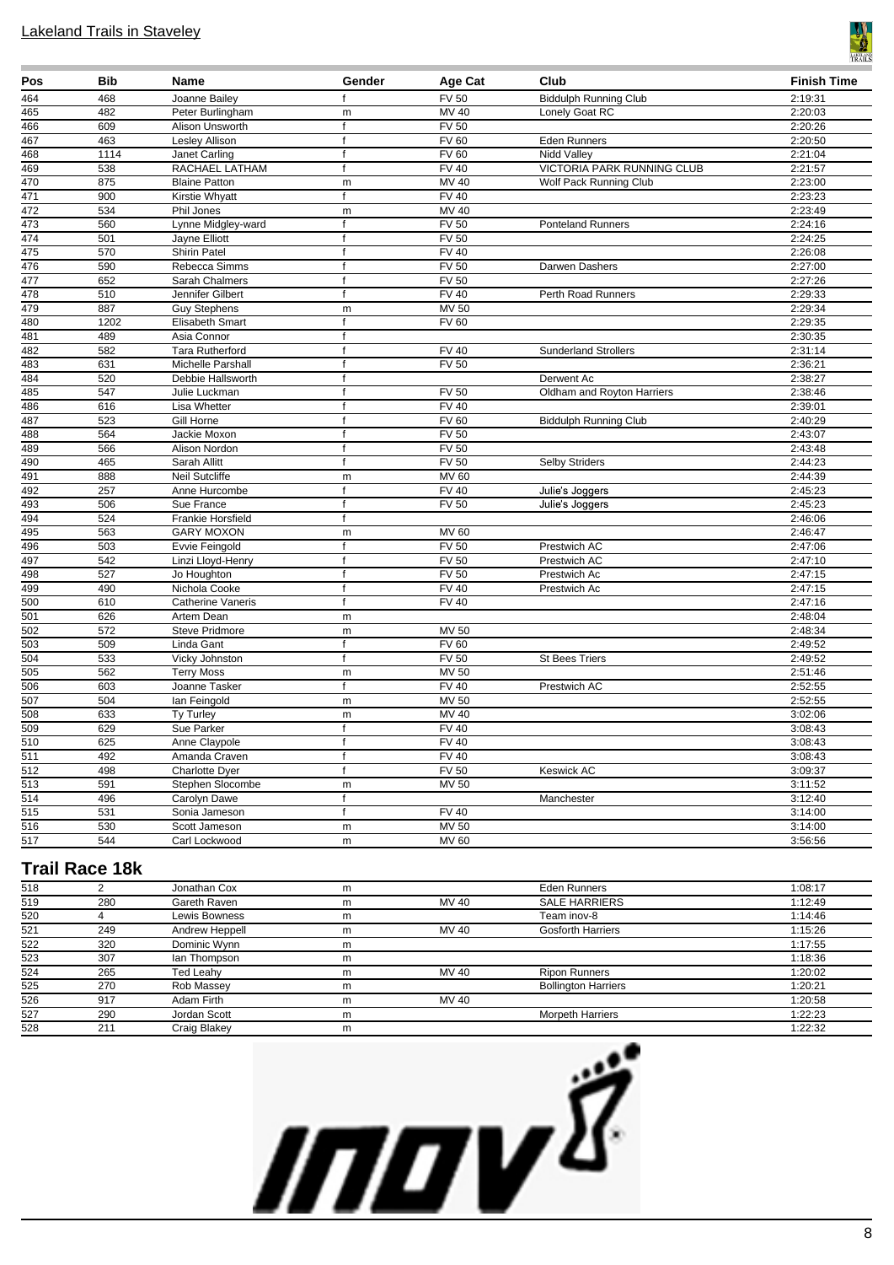

| Pos              | <b>Bib</b> | Name                   | Gender       | Age Cat          | Club                         | <b>Finish Time</b> |
|------------------|------------|------------------------|--------------|------------------|------------------------------|--------------------|
| 464              | 468        | Joanne Bailey          | f            | <b>FV 50</b>     | <b>Biddulph Running Club</b> | 2:19:31            |
| 465              | 482        | Peter Burlingham       | m            | MV 40            | Lonely Goat RC               | 2:20:03            |
| 466              | 609        | Alison Unsworth        | f            | FV <sub>50</sub> |                              | 2:20:26            |
| 467              | 463        | Lesley Allison         | f            | <b>FV 60</b>     | <b>Eden Runners</b>          | 2:20:50            |
| 468              | 1114       | Janet Carling          | $\mathsf{f}$ | <b>FV 60</b>     | Nidd Valley                  | 2:21:04            |
| 469              | 538        | RACHAEL LATHAM         | $\mathsf{f}$ | <b>FV 40</b>     | VICTORIA PARK RUNNING CLUB   | 2:21:57            |
| 470              | 875        | <b>Blaine Patton</b>   | m            | MV 40            | Wolf Pack Running Club       | 2:23:00            |
| 471              | 900        | Kirstie Whyatt         | f            | FV40             |                              | 2:23:23            |
| 472              | 534        | Phil Jones             | m            | MV 40            |                              | 2:23:49            |
| 473              | 560        | Lynne Midgley-ward     | f            | <b>FV 50</b>     | <b>Ponteland Runners</b>     | 2:24:16            |
| 474              | 501        | Jayne Elliott          | $\mathsf{f}$ | <b>FV 50</b>     |                              | 2:24:25            |
| 475              | 570        | Shirin Patel           | $\mathbf{f}$ | <b>FV 40</b>     |                              | 2:26:08            |
| 476              | 590        | Rebecca Simms          | f            | <b>FV 50</b>     | Darwen Dashers               | 2:27:00            |
| 477              | 652        | Sarah Chalmers         | $\mathsf{f}$ | <b>FV 50</b>     |                              | 2:27:26            |
| 478              | 510        | Jennifer Gilbert       | $\mathsf{f}$ | <b>FV 40</b>     | Perth Road Runners           | 2:29:33            |
| 479              | 887        | <b>Guy Stephens</b>    | m            | MV 50            |                              | 2:29:34            |
| 480              | 1202       | Elisabeth Smart        | f            | <b>FV 60</b>     |                              | 2:29:35            |
| 481              | 489        | Asia Connor            | f            |                  |                              | 2:30:35            |
| 482              | 582        | <b>Tara Rutherford</b> | f            | <b>FV 40</b>     | <b>Sunderland Strollers</b>  | 2:31:14            |
| 483              | 631        | Michelle Parshall      | $\mathsf{f}$ | <b>FV 50</b>     |                              | 2:36:21            |
| 484              | 520        | Debbie Hallsworth      | $\mathbf{f}$ |                  | Derwent Ac                   | 2:38:27            |
| 485              | 547        | Julie Luckman          | f            | <b>FV 50</b>     | Oldham and Royton Harriers   | 2:38:46            |
| 486              | 616        | Lisa Whetter           | $\mathsf{f}$ | FV40             |                              | 2:39:01            |
| 487              | 523        | Gill Horne             | f            | <b>FV 60</b>     | <b>Biddulph Running Club</b> | 2:40:29            |
| 488              | 564        | Jackie Moxon           | $\mathsf{f}$ | <b>FV 50</b>     |                              | 2:43:07            |
| 489              | 566        | Alison Nordon          | f            | FV <sub>50</sub> |                              | 2:43:48            |
| 490              | 465        | Sarah Allitt           | f            | <b>FV 50</b>     | Selby Striders               | 2:44:23            |
| 491              | 888        | Neil Sutcliffe         | m            | <b>MV 60</b>     |                              | 2:44:39            |
| 492              | 257        | Anne Hurcombe          | $\mathsf{f}$ | <b>FV 40</b>     | Julie's Joggers              | 2:45:23            |
| 493              | 506        | Sue France             | $\mathbf{f}$ | <b>FV 50</b>     | Julie's Joggers              | 2:45:23            |
| 494              | 524        | Frankie Horsfield      | f            |                  |                              | 2:46:06            |
| 495              | 563        | <b>GARY MOXON</b>      | m            | <b>MV 60</b>     |                              | 2:46:47            |
| 496              | 503        | Evvie Feingold         | f            | <b>FV 50</b>     | Prestwich AC                 | 2:47:06            |
| 497              | 542        | Linzi Lloyd-Henry      | $\mathsf{f}$ | <b>FV 50</b>     | Prestwich AC                 | 2:47:10            |
| 498              | 527        | Jo Houghton            | f            | <b>FV 50</b>     | Prestwich Ac                 | 2:47:15            |
| 499              | 490        | Nichola Cooke          | $\mathsf{f}$ | <b>FV 40</b>     | Prestwich Ac                 | 2:47:15            |
| 500              | 610        | Catherine Vaneris      | f            | <b>FV 40</b>     |                              | 2:47:16            |
| 501              | 626        | Artem Dean             | m            |                  |                              | 2:48:04            |
| $\overline{502}$ | 572        | <b>Steve Pridmore</b>  | m            | <b>MV 50</b>     |                              | 2:48:34            |
| 503              | 509        | Linda Gant             | f            | <b>FV 60</b>     |                              | 2:49:52            |
| $\overline{504}$ | 533        | Vicky Johnston         | $\mathsf f$  | FV 50            | St Bees Triers               | 2:49:52            |
| 505              | 562        | <b>Terry Moss</b>      | m            | <b>MV 50</b>     |                              | 2:51:46            |
| 506              | 603        | Joanne Tasker          | $\mathsf{f}$ | <b>FV 40</b>     | Prestwich AC                 | 2:52:55            |
| 507              | 504        | lan Feingold           | m            | <b>MV 50</b>     |                              | 2:52:55            |
| $\overline{508}$ | 633        | Ty Turley              | m            | <b>MV 40</b>     |                              | 3:02:06            |
| 509              | 629        | Sue Parker             | f            | <b>FV 40</b>     |                              | 3:08:43            |
| $\overline{510}$ | 625        | Anne Claypole          | f            | <b>FV 40</b>     |                              | 3:08:43            |
| $\overline{511}$ | 492        | Amanda Craven          | $\mathsf{f}$ | <b>FV 40</b>     |                              | 3:08:43            |
| 512              | 498        | Charlotte Dyer         | f            | <b>FV 50</b>     | <b>Keswick AC</b>            | 3:09:37            |
| 513              | 591        | Stephen Slocombe       | m            | MV 50            |                              | 3:11:52            |
| $\overline{514}$ | 496        | Carolyn Dawe           | f            |                  | Manchester                   | 3:12:40            |
| 515              | 531        | Sonia Jameson          | f            | <b>FV 40</b>     |                              | 3:14:00            |
| 516              | 530        | Scott Jameson          | m            | <b>MV 50</b>     |                              | 3:14:00            |
| 517              | 544        | Carl Lockwood          | m            | MV 60            |                              | 3:56:56            |
|                  |            |                        |              |                  |                              |                    |

# **Trail Race 18k**

| 518 |     | Jonathan Cox   | m |       | Eden Runners               | 1:08:17 |
|-----|-----|----------------|---|-------|----------------------------|---------|
| 519 | 280 | Gareth Raven   | m | MV 40 | <b>SALE HARRIERS</b>       | 1:12:49 |
| 520 |     | Lewis Bowness  | m |       | Team inov-8                | 1:14:46 |
| 521 | 249 | Andrew Heppell | m | MV 40 | <b>Gosforth Harriers</b>   | 1:15:26 |
| 522 | 320 | Dominic Wynn   | m |       |                            | 1:17:55 |
| 523 | 307 | lan Thompson   | m |       |                            | 1:18:36 |
| 524 | 265 | Ted Leahy      | m | MV 40 | <b>Ripon Runners</b>       | 1:20:02 |
| 525 | 270 | Rob Massey     | m |       | <b>Bollington Harriers</b> | 1:20:21 |
| 526 | 917 | Adam Firth     | m | MV 40 |                            | 1:20:58 |
| 527 | 290 | Jordan Scott   | m |       | Morpeth Harriers           | 1:22:23 |
| 528 | 211 | Craig Blakey   | m |       |                            | 1:22:32 |

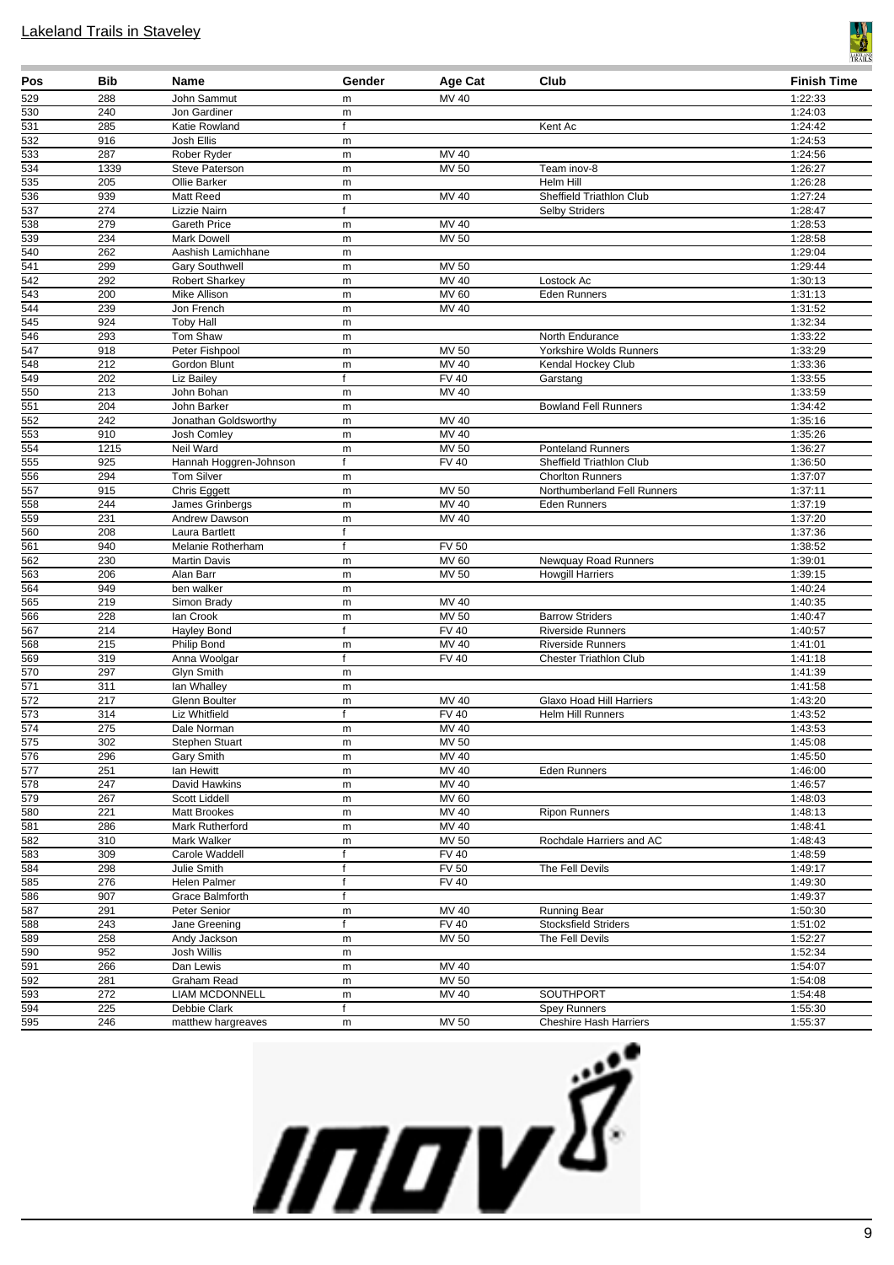

| Pos                    | Bib              | Name                                | Gender                 | Age Cat             | Club                                                | <b>Finish Time</b> |
|------------------------|------------------|-------------------------------------|------------------------|---------------------|-----------------------------------------------------|--------------------|
| 529                    | 288              | John Sammut                         | m                      | MV 40               |                                                     | 1:22:33            |
| 530                    | 240              | Jon Gardiner                        | m                      |                     |                                                     | 1:24:03            |
| 531                    | 285              | Katie Rowland                       | f                      |                     | Kent Ac                                             | 1:24:42            |
| 532                    | 916              | Josh Ellis                          | m                      |                     |                                                     | 1:24:53            |
| 533                    | 287              | Rober Ryder                         | ${\sf m}$              | MV 40               |                                                     | 1:24:56            |
| 534                    | 1339             | Steve Paterson                      | ${\sf m}$              | MV 50               | Team inov-8                                         | 1:26:27            |
| 535                    | 205              | Ollie Barker                        | m                      |                     | Helm Hill                                           | 1:26:28            |
| 536<br>537             | 939<br>274       | Matt Reed                           | m<br>$\mathsf{f}$      | MV 40               | Sheffield Triathlon Club                            | 1:27:24            |
| 538                    | 279              | Lizzie Nairn<br><b>Gareth Price</b> | m                      | MV 40               | <b>Selby Striders</b>                               | 1:28:47<br>1:28:53 |
| 539                    | 234              | <b>Mark Dowell</b>                  | ${\sf m}$              | <b>MV 50</b>        |                                                     | 1:28:58            |
| 540                    | 262              | Aashish Lamichhane                  | m                      |                     |                                                     | 1:29:04            |
| $\overline{541}$       | 299              | <b>Gary Southwell</b>               | ${\sf m}$              | MV 50               |                                                     | 1:29:44            |
| $\overline{542}$       | 292              | <b>Robert Sharkey</b>               | ${\sf m}$              | <b>MV 40</b>        | Lostock Ac                                          | 1:30:13            |
| $\frac{543}{5}$        | 200              | Mike Allison                        | ${\sf m}$              | MV 60               | Eden Runners                                        | 1:31:13            |
| 544                    | 239              | Jon French                          | m                      | MV 40               |                                                     | 1:31:52            |
| 545                    | 924              | <b>Toby Hall</b>                    | m                      |                     |                                                     | 1:32:34            |
| 546                    | 293              | Tom Shaw                            | m                      |                     | North Endurance                                     | 1:33:22            |
| 547                    | 918              | Peter Fishpool                      | ${\sf m}$              | MV 50               | Yorkshire Wolds Runners                             | 1:33:29            |
| 548                    | 212              | Gordon Blunt                        | ${\sf m}$              | <b>MV 40</b>        | Kendal Hockey Club                                  | 1:33:36            |
| 549                    | 202              | Liz Bailey                          | f                      | <b>FV 40</b>        | Garstang                                            | 1:33:55            |
| 550                    | 213              | John Bohan                          | ${\sf m}$              | MV 40               |                                                     | 1:33:59            |
| 551                    | 204              | John Barker                         | ${\sf m}$              |                     | <b>Bowland Fell Runners</b>                         | 1:34:42            |
| 552                    | 242              | Jonathan Goldsworthy                | ${\sf m}$              | MV 40               |                                                     | 1:35:16            |
| 553                    | 910              | Josh Comley                         | m                      | MV 40               |                                                     | 1:35:26            |
| 554<br>555             | 1215             | Neil Ward                           | m<br>$\mathsf{f}$      | MV 50               | <b>Ponteland Runners</b>                            | 1:36:27            |
|                        | 925              | Hannah Hoggren-Johnson              |                        | <b>FV 40</b>        | Sheffield Triathlon Club<br><b>Chorlton Runners</b> | 1:36:50            |
| 556<br>$\frac{1}{557}$ | 294<br>915       | Tom Silver<br>Chris Eggett          | ${\sf m}$<br>${\sf m}$ | <b>MV 50</b>        | Northumberland Fell Runners                         | 1:37:07<br>1:37:11 |
| 558                    | 244              | James Grinbergs                     | ${\sf m}$              | MV 40               | <b>Eden Runners</b>                                 | 1:37:19            |
| 559                    | 231              | Andrew Dawson                       | ${\sf m}$              | MV 40               |                                                     | 1:37:20            |
| 560                    | 208              | Laura Bartlett                      | f                      |                     |                                                     | 1:37:36            |
| 561                    | 940              | Melanie Rotherham                   | f                      | <b>FV 50</b>        |                                                     | 1:38:52            |
| $\overline{562}$       | 230              | <b>Martin Davis</b>                 | m                      | <b>MV 60</b>        | Newquay Road Runners                                | 1:39:01            |
| $\frac{563}{563}$      | 206              | Alan Barr                           | m                      | <b>MV 50</b>        | <b>Howgill Harriers</b>                             | 1:39:15            |
| 564                    | 949              | ben walker                          | m                      |                     |                                                     | 1:40:24            |
| 565                    | 219              | Simon Brady                         | m                      | <b>MV 40</b>        |                                                     | 1:40:35            |
| 566                    | 228              | lan Crook                           | ${\sf m}$              | <b>MV 50</b>        | <b>Barrow Striders</b>                              | 1:40:47            |
| 567                    | 214              | Hayley Bond                         | f                      | <b>FV 40</b>        | <b>Riverside Runners</b>                            | 1:40:57            |
| 568                    | 215              | Philip Bond                         | m                      | MV 40               | <b>Riverside Runners</b>                            | 1:41:01            |
| 569                    | 319              | Anna Woolgar                        | f                      | <b>FV 40</b>        | <b>Chester Triathlon Club</b>                       | 1:41:18            |
| 570<br>$\frac{1}{571}$ | 297              | Glyn Smith                          | m                      |                     |                                                     | 1:41:39            |
| $\overline{572}$       | 311<br>217       | lan Whalley<br>Glenn Boulter        | ${\sf m}$<br>${\sf m}$ | $MV$ 40             | Glaxo Hoad Hill Harriers                            | 1:41:58<br>1:43:20 |
| 573                    | 314              | Liz Whitfield                       | f                      | $\overline{F}$ V 40 | <b>Helm Hill Runners</b>                            | 1:43:52            |
| $\overline{574}$       | 275              | Dale Norman                         | m                      | MV 40               |                                                     | 1:43:53            |
| 575                    | 302              | Stephen Stuart                      | m                      | <b>MV 50</b>        |                                                     | 1:45:08            |
| 576                    | 296              | Gary Smith                          | m                      | MV 40               |                                                     | 1:45:50            |
| 577                    | 251              | lan Hewitt                          | m                      | <b>MV 40</b>        | <b>Eden Runners</b>                                 | 1:46:00            |
| 578                    | 247              | David Hawkins                       | ${\sf m}$              | MV 40               |                                                     | 1:46:57            |
| $\overline{579}$       | 267              | Scott Liddell                       | ${\sf m}$              | MV 60               |                                                     | 1:48:03            |
| 580                    | 221              | <b>Matt Brookes</b>                 | ${\sf m}$              | MV 40               | <b>Ripon Runners</b>                                | 1:48:13            |
| 581                    | 286              | Mark Rutherford                     | ${\sf m}$              | MV 40               |                                                     | 1:48:41            |
| 582                    | 310              | Mark Walker                         | ${\sf m}$              | MV 50               | Rochdale Harriers and AC                            | 1:48:43            |
| 583                    | 309              | Carole Waddell                      | $\mathsf{f}$           | <b>FV 40</b>        |                                                     | 1:48:59            |
| 584                    | 298              | Julie Smith                         | f                      | <b>FV 50</b>        | The Fell Devils                                     | 1:49:17            |
| 585                    | 276              | Helen Palmer                        | $\mathsf{f}$           | <b>FV 40</b>        |                                                     | 1:49:30            |
| 586                    | 907              | Grace Balmforth                     | f                      |                     |                                                     | 1:49:37            |
| 587                    | 291              | Peter Senior                        | m                      | MV 40               | <b>Running Bear</b>                                 | 1:50:30            |
| 588                    | 243              | Jane Greening                       | $\mathsf{f}$           | <b>FV 40</b>        | <b>Stocksfield Striders</b>                         | 1:51:02            |
| 589<br>590             | 258<br>952       | Andy Jackson<br>Josh Willis         | m<br>${\sf m}$         | <b>MV 50</b>        | The Fell Devils                                     | 1:52:27<br>1:52:34 |
| $\frac{591}{591}$      | 266              | Dan Lewis                           | ${\sf m}$              | MV 40               |                                                     | 1:54:07            |
| 592                    | 281              | Graham Read                         | m                      | MV 50               |                                                     | 1:54:08            |
| 593                    | $\overline{272}$ | <b>LIAM MCDONNELL</b>               | ${\sf m}$              | MV 40               | <b>SOUTHPORT</b>                                    | 1:54:48            |
| 594                    | 225              | Debbie Clark                        | f                      |                     | <b>Spey Runners</b>                                 | 1:55:30            |
| 595                    | 246              | matthew hargreaves                  | ${\sf m}$              | MV 50               | <b>Cheshire Hash Harriers</b>                       | 1:55:37            |

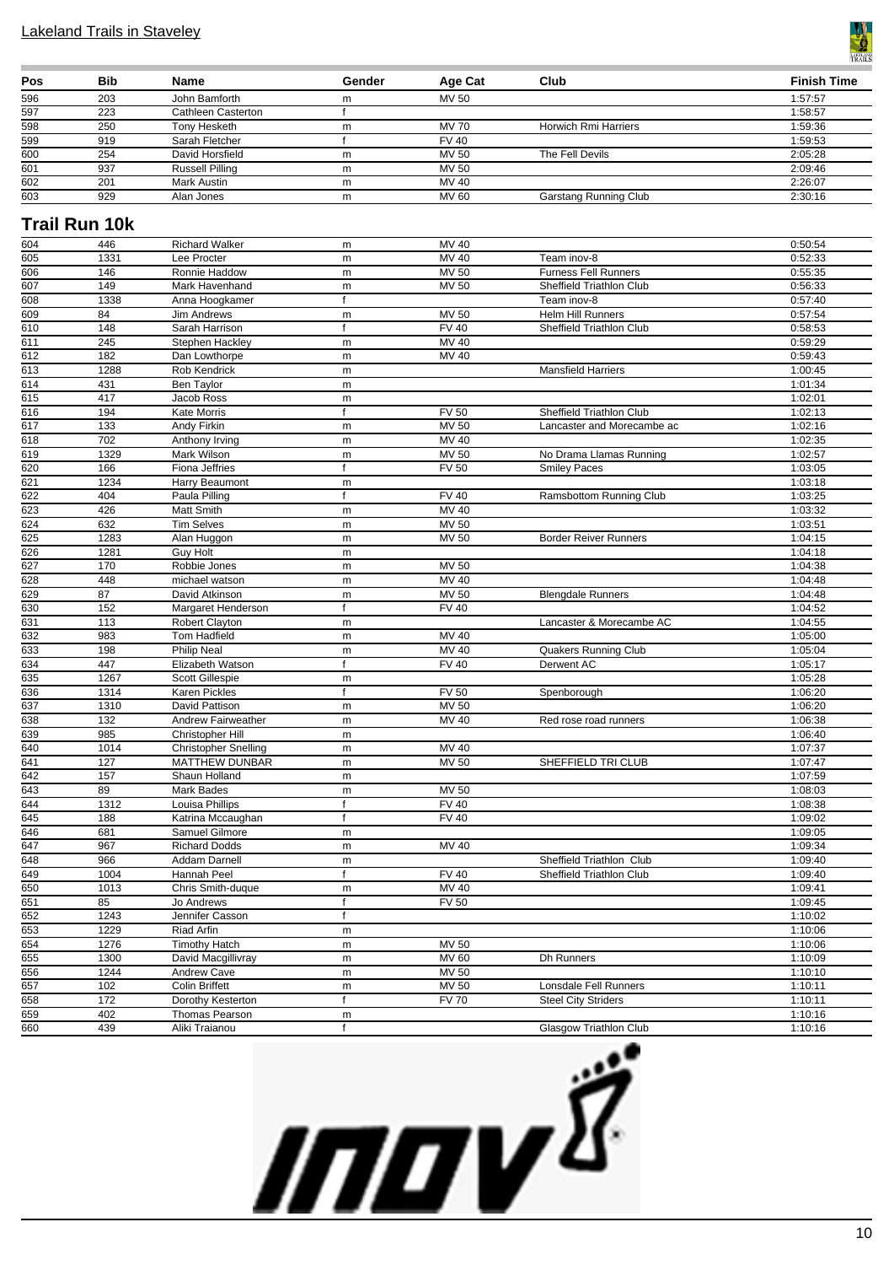

| Pos | <b>Bib</b> | Name                   | Gender | Age Cat      | Club                  | <b>Finish Time</b> |
|-----|------------|------------------------|--------|--------------|-----------------------|--------------------|
| 596 | 203        | John Bamforth          | m      | MV 50        |                       | 1:57:57            |
| 597 | 223        | Cathleen Casterton     |        |              |                       | 1:58:57            |
| 598 | 250        | Tony Hesketh           | m      | <b>MV 70</b> | Horwich Rmi Harriers  | 1:59:36            |
| 599 | 919        | Sarah Fletcher         |        | <b>FV 40</b> |                       | 1:59:53            |
| 600 | 254        | David Horsfield        | m      | MV 50        | The Fell Devils       | 2:05:28            |
| 601 | 937        | <b>Russell Pilling</b> | m      | MV 50        |                       | 2:09:46            |
| 602 | 201        | Mark Austin            | m      | MV 40        |                       | 2:26:07            |
| 603 | 929        | Alan Jones             | m      | <b>MV 60</b> | Garstang Running Club | 2:30:16            |

### **Trail Run 10k**

| 604              | 446          | Richard Walker                  | m            | MV 40                        |                               | 0:50:54            |
|------------------|--------------|---------------------------------|--------------|------------------------------|-------------------------------|--------------------|
| 605              | 1331         | Lee Procter                     | m            | MV 40                        | Team inov-8                   | 0:52:33            |
| 606              | 146          | Ronnie Haddow                   | m            | <b>MV 50</b>                 | <b>Furness Fell Runners</b>   | 0:55:35            |
| 607              | 149          | Mark Havenhand                  | m            | <b>MV 50</b>                 | Sheffield Triathlon Club      | 0:56:33            |
| 608              | 1338         | Anna Hoogkamer                  | $\mathsf{f}$ |                              | Team inov-8                   | 0:57:40            |
| $\overline{609}$ | 84           | <b>Jim Andrews</b>              | m            | <b>MV 50</b>                 | Helm Hill Runners             | 0:57:54            |
| 610              | 148          | Sarah Harrison                  | $\mathsf{f}$ | <b>FV 40</b>                 | Sheffield Triathlon Club      | 0:58:53            |
| 611              | 245          | Stephen Hackley                 | m            | <b>MV 40</b>                 |                               | 0:59:29            |
| 612              | 182          | Dan Lowthorpe                   | m            | $MV$ 40                      |                               | 0:59:43            |
| 613              | 1288         | Rob Kendrick                    | m            |                              | <b>Mansfield Harriers</b>     | 1:00:45            |
| 614              | 431          | Ben Taylor                      | m            |                              |                               | 1:01:34            |
| 615              | 417          | Jacob Ross                      | m            |                              |                               | 1:02:01            |
| 616              | 194          | Kate Morris                     | $\mathsf{f}$ | $\overline{FV}$ 50           | Sheffield Triathlon Club      | 1:02:13            |
| 617              | 133          | Andy Firkin                     | m            | <b>MV 50</b>                 | Lancaster and Morecambe ac    | 1:02:16            |
| 618              | 702          | Anthony Irving                  | m            | <b>MV 40</b>                 |                               | 1:02:35            |
| 619              | 1329         | Mark Wilson                     | m            | <b>MV 50</b>                 | No Drama Llamas Running       | 1:02:57            |
| 620              | 166          | Fiona Jeffries                  | $\mathsf{f}$ | <b>FV 50</b>                 | <b>Smiley Paces</b>           | 1:03:05            |
| $\overline{621}$ | 1234         | Harry Beaumont                  | m            |                              |                               | 1:03:18            |
| $\frac{1}{622}$  | 404          | Paula Pilling                   | $\mathsf{f}$ | <b>FV 40</b>                 | Ramsbottom Running Club       | 1:03:25            |
| 623              | 426          | Matt Smith                      | m            | MV 40                        |                               | 1:03:32            |
| 624              | 632          | <b>Tim Selves</b>               | m            | <b>MV 50</b>                 |                               | 1:03:51            |
| 625              | 1283         | Alan Huggon                     | m            | MV 50                        | <b>Border Reiver Runners</b>  | 1:04:15            |
| 626              | 1281         | <b>Guy Holt</b>                 | m            |                              |                               | 1:04:18            |
| 627              | 170          | Robbie Jones                    | m            | <b>MV 50</b>                 |                               | 1:04:38            |
| 628              | 448          | michael watson                  | m            | MV 40                        |                               | 1:04:48            |
| 629              | 87           | David Atkinson                  | m            | <b>MV 50</b>                 | <b>Blengdale Runners</b>      | 1:04:48            |
| 630              | 152          | Margaret Henderson              | f            | $FV$ 40                      |                               | 1:04:52            |
| 631              | 113          | Robert Clayton                  | m            |                              | Lancaster & Morecambe AC      | 1:04:55            |
| 632              | 983          | Tom Hadfield                    | m            | MV 40                        |                               | 1:05:00            |
| 633              | 198          | Philip Neal                     | m            | MV 40                        | <b>Quakers Running Club</b>   | 1:05:04            |
| 634              | 447          | Elizabeth Watson                | $\mathsf{f}$ | <b>FV 40</b>                 | Derwent AC                    | 1:05:17            |
| 635              | 1267         | Scott Gillespie                 | m<br>f       |                              |                               | 1:05:28            |
| 636<br>637       | 1314<br>1310 | Karen Pickles<br>David Pattison |              | <b>FV 50</b><br><b>MV 50</b> | Spenborough                   | 1:06:20<br>1:06:20 |
| 638              | 132          | Andrew Fairweather              | m<br>m       | MV 40                        | Red rose road runners         | 1:06:38            |
| 639              | 985          | Christopher Hill                | m            |                              |                               | 1:06:40            |
| 640              | 1014         | <b>Christopher Snelling</b>     | m            | MV 40                        |                               | 1:07:37            |
| 641              | 127          | <b>MATTHEW DUNBAR</b>           | m            | MV 50                        | SHEFFIELD TRI CLUB            | 1:07:47            |
| 642              | 157          | Shaun Holland                   | m            |                              |                               | 1:07:59            |
| 643              | 89           | Mark Bades                      | m            | <b>MV 50</b>                 |                               | 1:08:03            |
| 644              | 1312         | Louisa Phillips                 | $\mathsf{f}$ | <b>FV 40</b>                 |                               | 1:08:38            |
| 645              | 188          | Katrina Mccaughan               | $\mathsf{f}$ | <b>FV 40</b>                 |                               | 1:09:02            |
| 646              | 681          | Samuel Gilmore                  | m            |                              |                               | 1:09:05            |
| 647              | 967          | <b>Richard Dodds</b>            | m            | MV 40                        |                               | 1:09:34            |
| 648              | 966          | Addam Darnell                   | m            |                              | Sheffield Triathlon Club      | 1:09:40            |
| 649              | 1004         | Hannah Peel                     | $\mathsf{f}$ | <b>FV 40</b>                 | Sheffield Triathlon Club      | 1:09:40            |
| 650              | 1013         | Chris Smith-duque               | m            | $MV$ 40                      |                               | 1:09:41            |
| 651              | 85           | Jo Andrews                      | $\mathsf{f}$ | <b>FV 50</b>                 |                               | 1:09:45            |
| 652              | 1243         | Jennifer Casson                 | f            |                              |                               | 1:10:02            |
| 653              | 1229         | Riad Arfin                      | m            |                              |                               | 1:10:06            |
| 654              | 1276         | <b>Timothy Hatch</b>            | m            | <b>MV 50</b>                 |                               | 1:10:06            |
| 655              | 1300         | David Macgillivray              | m            | <b>MV 60</b>                 | Dh Runners                    | 1:10:09            |
| 656              | 1244         | <b>Andrew Cave</b>              | m            | MV 50                        |                               | 1:10:10            |
| 657              | 102          | Colin Briffett                  | m            | <b>MV 50</b>                 | Lonsdale Fell Runners         | 1:10:11            |
| 658              | 172          | Dorothy Kesterton               | $\mathsf{f}$ | <b>FV 70</b>                 | <b>Steel City Striders</b>    | 1:10:11            |
| 659              | 402          | Thomas Pearson                  | m            |                              |                               | 1:10:16            |
| 660              | 439          | Aliki Traianou                  | f            |                              | <b>Glasgow Triathlon Club</b> | 1:10:16            |

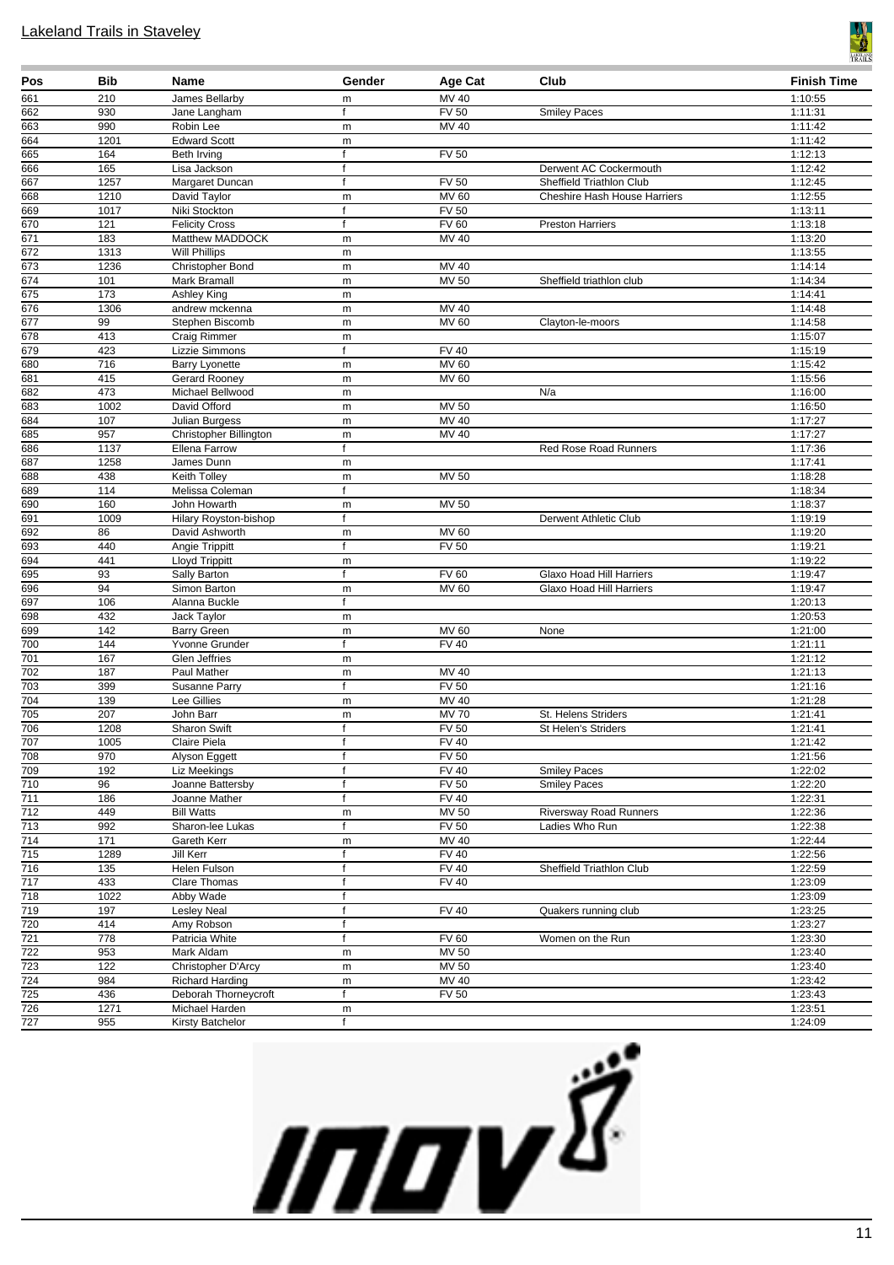

| Pos                     | <b>Bib</b>       | Name                                  | Gender       | Age Cat                      | Club                                                            | <b>Finish Time</b> |
|-------------------------|------------------|---------------------------------------|--------------|------------------------------|-----------------------------------------------------------------|--------------------|
| 661                     | 210              | James Bellarby                        | m            | MV 40                        |                                                                 | 1:10:55            |
| 662                     | 930              | Jane Langham                          | f            | <b>FV 50</b>                 | <b>Smiley Paces</b>                                             | 1:11:31            |
| 663                     | 990              | Robin Lee                             | m            | <b>MV 40</b>                 |                                                                 | 1:11:42            |
| 664                     | 1201             | <b>Edward Scott</b>                   | m            |                              |                                                                 | 1:11:42            |
| 665                     | 164              | Beth Irving                           | f            | <b>FV 50</b>                 |                                                                 | 1:12:13            |
| 666                     | 165              | Lisa Jackson                          | f            |                              | Derwent AC Cockermouth                                          | 1:12:42            |
| 667<br>668              | 1257<br>1210     | Margaret Duncan<br>David Taylor       | f<br>m       | <b>FV 50</b><br><b>MV 60</b> | Sheffield Triathlon Club<br><b>Cheshire Hash House Harriers</b> | 1:12:45<br>1:12:55 |
| 669                     | 1017             | Niki Stockton                         | f            | <b>FV 50</b>                 |                                                                 | 1:13:11            |
| 670                     | 121              | <b>Felicity Cross</b>                 | $\mathsf{f}$ | <b>FV 60</b>                 | <b>Preston Harriers</b>                                         | 1:13:18            |
| 671                     | $\overline{183}$ | Matthew MADDOCK                       | m            | MV 40                        |                                                                 | 1:13:20            |
| 672                     | 1313             | <b>Will Phillips</b>                  | m            |                              |                                                                 | 1:13:55            |
| 673                     | 1236             | Christopher Bond                      | m            | $MV$ 40                      |                                                                 | 1:14:14            |
| 674                     | 101              | Mark Bramall                          | m            | <b>MV 50</b>                 | Sheffield triathlon club                                        | 1:14:34            |
| 675                     | 173              | Ashley King                           | m            |                              |                                                                 | 1:14:41            |
| 676                     | 1306             | andrew mckenna                        | m            | MV 40                        |                                                                 | 1:14:48            |
| $\overline{677}$        | 99               | Stephen Biscomb                       | m            | MV 60                        | Clayton-le-moors                                                | 1:14:58            |
| 678                     | 413              | Craig Rimmer                          | m            |                              |                                                                 | 1:15:07            |
| 679                     | 423              | Lizzie Simmons                        | $\mathsf{f}$ | <b>FV 40</b>                 |                                                                 | 1:15:19            |
| 680                     | 716              | <b>Barry Lyonette</b>                 | m            | MV 60                        |                                                                 | 1:15:42            |
| 681                     | 415              | Gerard Rooney                         | m            | MV 60                        |                                                                 | 1:15:56            |
| 682                     | 473              | Michael Bellwood<br>David Offord      | m            |                              | N/a                                                             | 1:16:00            |
| 683<br>684              | 1002<br>107      | Julian Burgess                        | m            | MV 50<br>MV 40               |                                                                 | 1:16:50<br>1:17:27 |
| 685                     | 957              | Christopher Billington                | m<br>m       | MV 40                        |                                                                 | 1:17:27            |
| 686                     | 1137             | Ellena Farrow                         | f            |                              | <b>Red Rose Road Runners</b>                                    | 1:17:36            |
| 687                     | 1258             | James Dunn                            | m            |                              |                                                                 | 1:17:41            |
| 688                     | 438              | Keith Tolley                          | m            | MV 50                        |                                                                 | 1:18:28            |
| 689                     | 114              | Melissa Coleman                       | f            |                              |                                                                 | 1:18:34            |
| 690                     | 160              | John Howarth                          | m            | MV 50                        |                                                                 | 1:18:37            |
| 691                     | 1009             | Hilary Royston-bishop                 | f            |                              | Derwent Athletic Club                                           | 1:19:19            |
| 692                     | 86               | David Ashworth                        | m            | <b>MV 60</b>                 |                                                                 | 1:19:20            |
| 693                     | 440              | Angie Trippitt                        | f            | <b>FV 50</b>                 |                                                                 | 1:19:21            |
| 694                     | 441              | <b>Lloyd Trippitt</b>                 | m            |                              |                                                                 | 1:19:22            |
| 695                     | 93               | Sally Barton                          | f            | FV60                         | Glaxo Hoad Hill Harriers                                        | 1:19:47            |
| 696                     | 94               | Simon Barton                          | m            | MV 60                        | Glaxo Hoad Hill Harriers                                        | 1:19:47            |
| 697                     | 106              | Alanna Buckle                         | f            |                              |                                                                 | 1:20:13            |
| 698<br>699              | 432<br>142       | Jack Taylor                           | m            | MV 60                        | None                                                            | 1:20:53<br>1:21:00 |
| 700                     | 144              | <b>Barry Green</b><br>Yvonne Grunder  | m<br>f       | <b>FV 40</b>                 |                                                                 | 1:21:11            |
| 701                     | 167              | Glen Jeffries                         | m            |                              |                                                                 | 1:21:12            |
| 702                     | 187              | Paul Mather                           | m            | MV 40                        |                                                                 | 1:21:13            |
| 703                     | 399              | Susanne Parry                         | f            | FV <sub>50</sub>             |                                                                 | 1:21:16            |
| 704                     | 139              | <b>Lee Gillies</b>                    | m            | MV 40                        |                                                                 | 1:21:28            |
| 705                     | 207              | John Barr                             | m            | <b>MV70</b>                  | St. Helens Striders                                             | 1:21:41            |
| 706                     | 1208             | <b>Sharon Swift</b>                   | f            | <b>FV 50</b>                 | St Helen's Striders                                             | 1:21:41            |
| 707                     | 1005             | Claire Piela                          | f            | FV 40                        |                                                                 | 1:21:42            |
| 708                     | 970              | Alyson Eggett                         | $\mathsf{f}$ | $\overline{FV}$ 50           |                                                                 | 1:21:56            |
| 709                     | 192              | Liz Meekings                          | f            | $\overline{FV40}$            | <b>Smiley Paces</b>                                             | 1:22:02            |
| 710                     | 96               | Joanne Battersby                      | $\mathsf{f}$ | <b>FV 50</b>                 | <b>Smiley Paces</b>                                             | 1:22:20            |
| 711                     | 186              | Joanne Mather                         | f            | <b>FV 40</b>                 |                                                                 | 1:22:31            |
| $\overline{712}$<br>713 | 449<br>992       | <b>Bill Watts</b><br>Sharon-lee Lukas | m<br>f       | MV 50<br>FV 50               | <b>Riversway Road Runners</b><br>Ladies Who Run                 | 1:22:36<br>1:22:38 |
| 714                     | $\frac{1}{171}$  | Gareth Kerr                           | m            | MV 40                        |                                                                 | 1:22:44            |
| 715                     | 1289             | Jill Kerr                             | f            | <b>FV 40</b>                 |                                                                 | 1:22:56            |
| 716                     | 135              | Helen Fulson                          | f            | <b>FV 40</b>                 | Sheffield Triathlon Club                                        | 1:22:59            |
| 717                     | 433              | <b>Clare Thomas</b>                   | f            | <b>FV 40</b>                 |                                                                 | 1:23:09            |
| 718                     | 1022             | Abby Wade                             | f            |                              |                                                                 | 1:23:09            |
| 719                     | 197              | <b>Lesley Neal</b>                    | f            | <b>FV 40</b>                 | Quakers running club                                            | 1:23:25            |
| 720                     | 414              | Amy Robson                            | f            |                              |                                                                 | 1:23:27            |
| $\overline{721}$        | 778              | Patricia White                        | f            | <b>FV 60</b>                 | Women on the Run                                                | 1:23:30            |
| 722                     | 953              | Mark Aldam                            | m            | <b>MV 50</b>                 |                                                                 | 1:23:40            |
| $\frac{723}{ }$         | 122              | Christopher D'Arcy                    | m            | <b>MV 50</b>                 |                                                                 | 1:23:40            |
| 724                     | 984              | <b>Richard Harding</b>                | ${\sf m}$    | MV 40                        |                                                                 | 1:23:42            |
| $\overline{725}$        | 436              | Deborah Thorneycroft                  | f            | <b>FV 50</b>                 |                                                                 | 1:23:43            |
| 726                     | 1271             | Michael Harden                        | m            |                              |                                                                 | 1:23:51            |
| 727                     | 955              | Kirsty Batchelor                      | f            |                              |                                                                 | 1:24:09            |

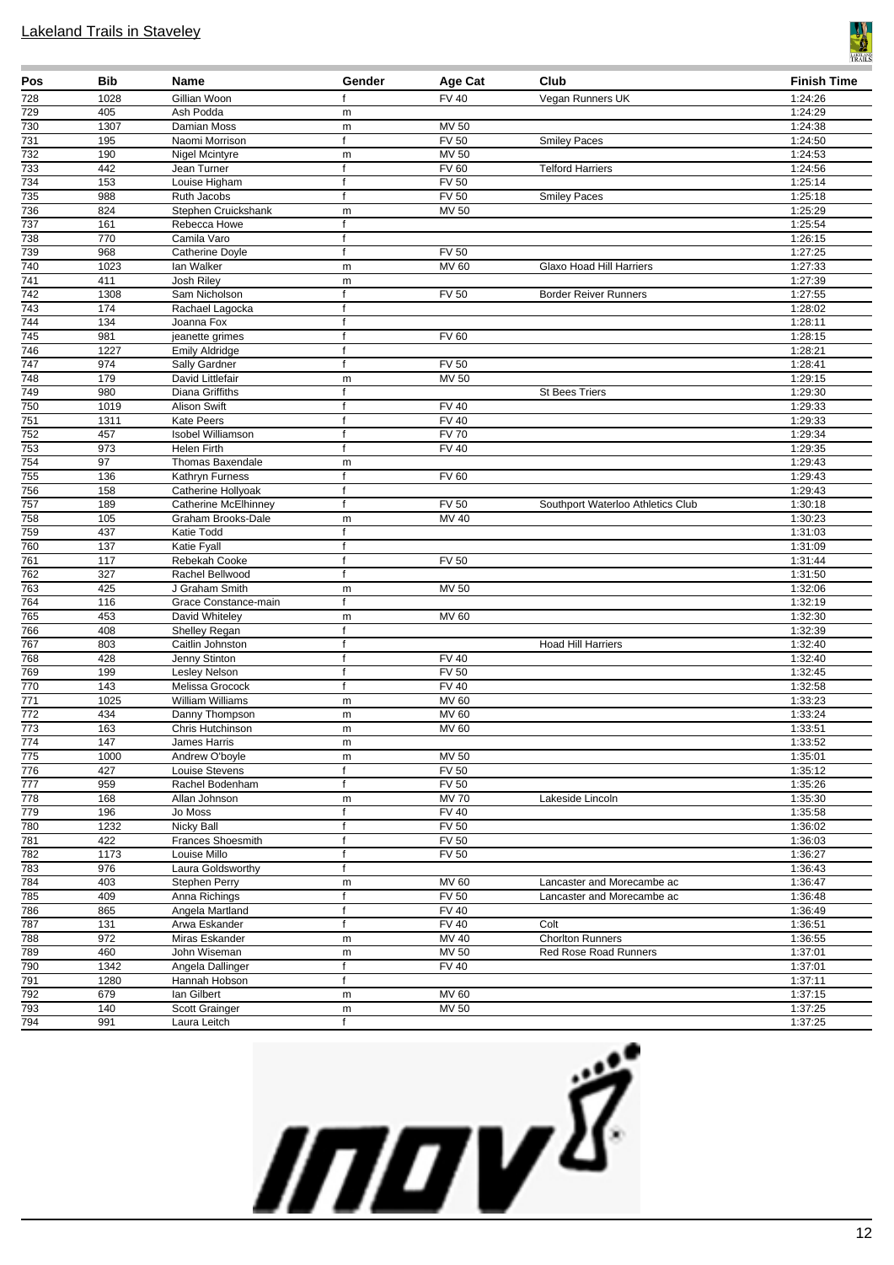

| Pos                     | <b>Bib</b>        | Name                                  | Gender            | Age Cat               | Club                              | <b>Finish Time</b> |
|-------------------------|-------------------|---------------------------------------|-------------------|-----------------------|-----------------------------------|--------------------|
| 728                     | 1028              | Gillian Woon                          | f                 | <b>FV 40</b>          | Vegan Runners UK                  | 1:24:26            |
| 729                     | 405               | Ash Podda                             | m                 |                       |                                   | 1:24:29            |
| 730                     | 1307              | Damian Moss                           | m                 | MV 50                 |                                   | 1:24:38            |
| 731                     | 195               | Naomi Morrison                        | f                 | <b>FV 50</b>          | <b>Smiley Paces</b>               | 1:24:50            |
| 732<br>733              | 190<br>442        | Nigel Mcintyre<br>Jean Turner         | m<br>f            | MV 50<br><b>FV 60</b> | <b>Telford Harriers</b>           | 1:24:53<br>1:24:56 |
| 734                     | 153               | Louise Higham                         | f                 | <b>FV 50</b>          |                                   | 1:25:14            |
| 735                     | 988               | Ruth Jacobs                           | f                 | <b>FV 50</b>          | <b>Smiley Paces</b>               | 1:25:18            |
| 736                     | 824               | Stephen Cruickshank                   | m                 | MV 50                 |                                   | 1:25:29            |
| 737                     | 161               | Rebecca Howe                          | f                 |                       |                                   | 1:25:54            |
| 738                     | 770               | Camila Varo                           | $\mathsf{f}$      |                       |                                   | 1:26:15            |
| 739                     | 968               | <b>Catherine Doyle</b>                | $\mathsf{f}$      | <b>FV 50</b>          |                                   | 1:27:25            |
| 740                     | 1023              | lan Walker                            | m                 | MV 60                 | <b>Glaxo Hoad Hill Harriers</b>   | 1:27:33            |
| $\overline{741}$        | 411               | <b>Josh Riley</b>                     | m                 |                       |                                   | 1:27:39            |
| 742                     | 1308              | Sam Nicholson                         | f<br>$\mathbf{f}$ | <b>FV 50</b>          | <b>Border Reiver Runners</b>      | 1:27:55            |
| 743<br>744              | 174<br>134        | Rachael Lagocka<br>Joanna Fox         | f                 |                       |                                   | 1:28:02<br>1:28:11 |
| 745                     | 981               | jeanette grimes                       | f                 | <b>FV 60</b>          |                                   | 1:28:15            |
| 746                     | 1227              | <b>Emily Aldridge</b>                 | $\mathsf{f}$      |                       |                                   | 1:28:21            |
| 747                     | 974               | Sally Gardner                         | $\mathsf{f}$      | <b>FV 50</b>          |                                   | 1:28:41            |
| 748                     | 179               | David Littlefair                      | m                 | MV 50                 |                                   | 1:29:15            |
| $\overline{749}$        | 980               | Diana Griffiths                       | f                 |                       | <b>St Bees Triers</b>             | 1:29:30            |
| 750                     | 1019              | Alison Swift                          | $\mathsf{f}$      | <b>FV 40</b>          |                                   | 1:29:33            |
| $\overline{751}$        | 1311              | <b>Kate Peers</b>                     | f                 | <b>FV 40</b>          |                                   | 1:29:33            |
| 752                     | 457               | <b>Isobel Williamson</b>              | f                 | <b>FV 70</b>          |                                   | 1:29:34            |
| 753                     | 973               | <b>Helen Firth</b>                    | f                 | <b>FV 40</b>          |                                   | 1:29:35            |
| 754                     | 97<br>136         | <b>Thomas Baxendale</b>               | m<br>f            | <b>FV 60</b>          |                                   | 1:29:43<br>1:29:43 |
| 755<br>756              | 158               | Kathryn Furness<br>Catherine Hollyoak | $\mathsf{f}$      |                       |                                   | 1:29:43            |
| 757                     | 189               | Catherine McElhinney                  | $\mathsf{f}$      | <b>FV 50</b>          | Southport Waterloo Athletics Club | 1:30:18            |
| 758                     | 105               | Graham Brooks-Dale                    | m                 | MV 40                 |                                   | 1:30:23            |
| 759                     | 437               | <b>Katie Todd</b>                     | $\mathsf{f}$      |                       |                                   | 1:31:03            |
| 760                     | 137               | Katie Fyall                           | f                 |                       |                                   | 1:31:09            |
| 761                     | 117               | Rebekah Cooke                         | f                 | <b>FV 50</b>          |                                   | 1:31:44            |
| 762                     | 327               | Rachel Bellwood                       | f                 |                       |                                   | 1:31:50            |
| 763                     | 425               | J Graham Smith                        | m                 | MV 50                 |                                   | 1:32:06            |
| 764                     | 116               | Grace Constance-main                  | f                 |                       |                                   | 1:32:19            |
| 765<br>766              | 453<br>408        | David Whiteley<br>Shelley Regan       | m<br>f            | MV 60                 |                                   | 1:32:30<br>1:32:39 |
| 767                     | 803               | Caitlin Johnston                      | f                 |                       | <b>Hoad Hill Harriers</b>         | 1:32:40            |
| 768                     | 428               | Jenny Stinton                         | f                 | <b>FV 40</b>          |                                   | 1:32:40            |
| 769                     | 199               | Lesley Nelson                         | f                 | <b>FV 50</b>          |                                   | 1:32:45            |
| 770                     | 143               | Melissa Grocock                       | f                 | <b>FV 40</b>          |                                   | 1:32:58            |
| 771                     | $\overline{1025}$ | <b>William Williams</b>               | m                 | MV 60                 |                                   | 1:33:23            |
| $\overline{772}$        | 434               | Danny Thompson                        | m                 | MV 60                 |                                   | 1:33:24            |
| 773                     | 163               | Chris Hutchinson                      | m                 | <b>MV 60</b>          |                                   | 1:33:51            |
| $\frac{1}{4}$           | 147               | James Harris                          | m                 |                       |                                   | 1:33:52            |
| 775<br>$\overline{776}$ | 1000<br>427       | Andrew O'boyle<br>Louise Stevens      | m<br>f            | MV 50<br><b>FV 50</b> |                                   | 1:35:01<br>1:35:12 |
| $\overline{777}$        | 959               | Rachel Bodenham                       | f                 | <b>FV 50</b>          |                                   | 1:35:26            |
| 778                     | 168               | Allan Johnson                         | m                 | $\overline{MV}$ 70    | Lakeside Lincoln                  | 1:35:30            |
| 779                     | 196               | Jo Moss                               | $\mathsf{f}$      | <b>FV 40</b>          |                                   | 1:35:58            |
| 780                     | 1232              | Nicky Ball                            | f                 | <b>FV 50</b>          |                                   | 1:36:02            |
| 781                     | 422               | <b>Frances Shoesmith</b>              | f                 | FV <sub>50</sub>      |                                   | 1:36:03            |
| 782                     | 1173              | Louise Millo                          | f                 | <b>FV 50</b>          |                                   | 1:36:27            |
| 783                     | 976               | Laura Goldsworthy                     | $\mathsf{f}$      |                       |                                   | 1:36:43            |
| 784                     | 403               | Stephen Perry                         | m                 | MV 60<br><b>FV 50</b> | Lancaster and Morecambe ac        | 1:36:47            |
| 785<br>786              | 409<br>865        | Anna Richings<br>Angela Martland      | f<br>$\mathsf{f}$ | <b>FV 40</b>          | Lancaster and Morecambe ac        | 1:36:48<br>1:36:49 |
| 787                     | 131               | Arwa Eskander                         | f                 | <b>FV 40</b>          | Colt                              | 1:36:51            |
| 788                     | $\overline{972}$  | Miras Eskander                        | m                 | MV 40                 | <b>Chorlton Runners</b>           | 1:36:55            |
| 789                     | 460               | John Wiseman                          | m                 | <b>MV 50</b>          | Red Rose Road Runners             | 1:37:01            |
| 790                     | 1342              | Angela Dallinger                      | f                 | <b>FV 40</b>          |                                   | 1:37:01            |
| 791                     | 1280              | Hannah Hobson                         | $\mathsf{f}$      |                       |                                   | 1:37:11            |
| 792                     | 679               | lan Gilbert                           | m                 | MV 60                 |                                   | 1:37:15            |
| 793                     | 140               | Scott Grainger                        | m                 | <b>MV 50</b>          |                                   | 1:37:25            |
| 794                     | 991               | Laura Leitch                          | f                 |                       |                                   | 1:37:25            |

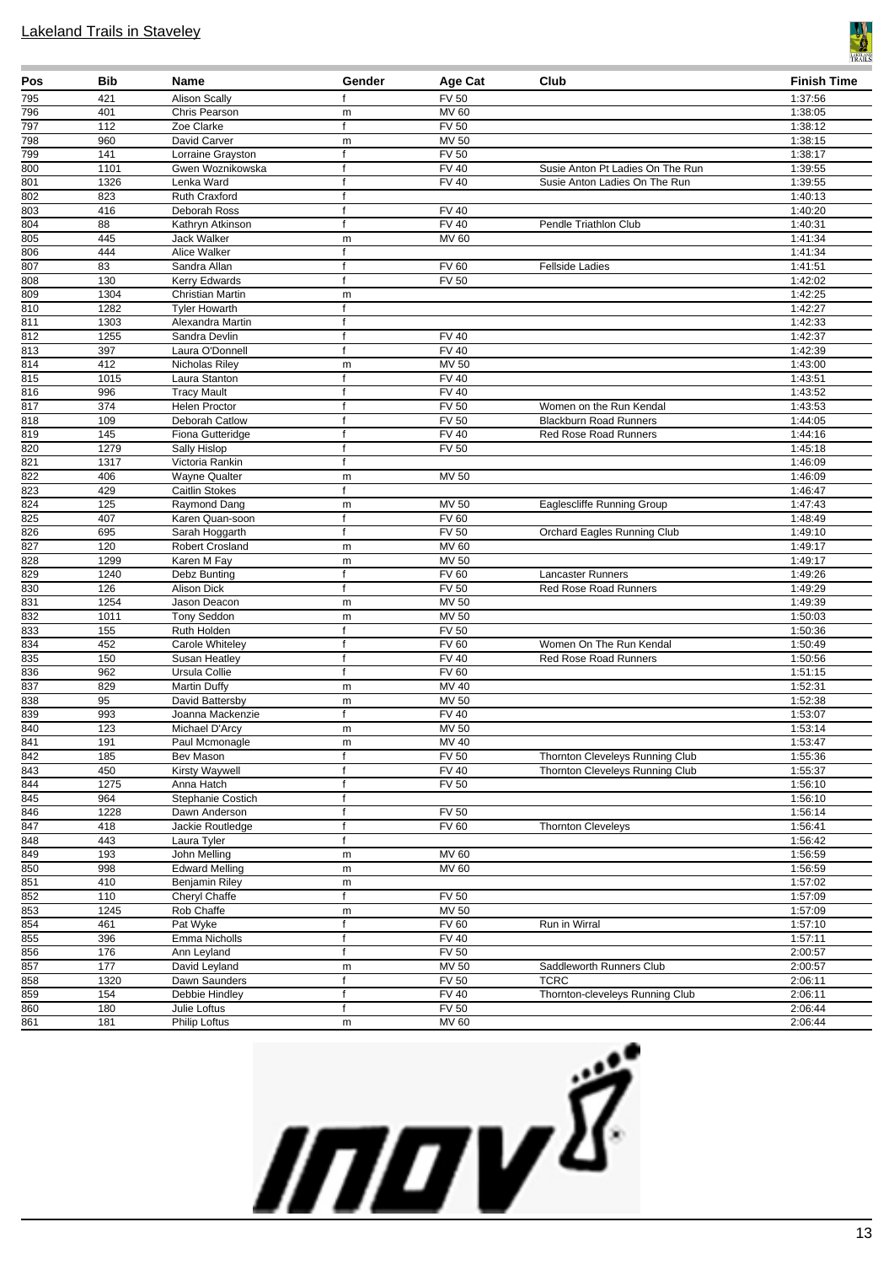

| Pos              | Bib               | Name                                  | Gender                       | Age Cat                      | Club                                                              | <b>Finish Time</b> |
|------------------|-------------------|---------------------------------------|------------------------------|------------------------------|-------------------------------------------------------------------|--------------------|
| 795              | 421               | <b>Alison Scally</b>                  | f                            | <b>FV 50</b>                 |                                                                   | 1:37:56            |
| 796              | 401               | Chris Pearson                         | m                            | <b>MV 60</b>                 |                                                                   | 1:38:05            |
| 797              | $\frac{112}{2}$   | Zoe Clarke                            | $\mathsf{f}$                 | FV <sub>50</sub>             |                                                                   | 1:38:12            |
| 798              | 960               | David Carver                          | m                            | MV 50                        |                                                                   | 1:38:15            |
| 799<br>800       | 141<br>1101       | Lorraine Grayston<br>Gwen Woznikowska | f<br>$\mathsf{f}$            | <b>FV 50</b><br><b>FV 40</b> |                                                                   | 1:38:17<br>1:39:55 |
| 801              | 1326              | Lenka Ward                            | f                            | <b>FV 40</b>                 | Susie Anton Pt Ladies On The Run<br>Susie Anton Ladies On The Run | 1:39:55            |
| 802              | 823               | Ruth Craxford                         | $\mathsf{f}$                 |                              |                                                                   | 1:40:13            |
| 803              | 416               | Deborah Ross                          | f                            | <b>FV 40</b>                 |                                                                   | 1:40:20            |
| 804              | 88                | Kathryn Atkinson                      | f                            | $\overline{F}$ V 40          | Pendle Triathlon Club                                             | 1:40:31            |
| 805              | 445               | Jack Walker                           | m                            | <b>MV 60</b>                 |                                                                   | 1:41:34            |
| 806              | 444               | Alice Walker                          | $\mathsf{f}$                 |                              |                                                                   | 1:41:34            |
| 807              | 83                | Sandra Allan                          | $\mathbf f$                  | <b>FV 60</b>                 | <b>Fellside Ladies</b>                                            | 1:41:51            |
| 808              | 130               | Kerry Edwards                         | f                            | <b>FV 50</b>                 |                                                                   | 1:42:02            |
| 809              | 1304              | <b>Christian Martin</b>               | m                            |                              |                                                                   | 1:42:25            |
| 810              | 1282              | <b>Tyler Howarth</b>                  | $\mathsf{f}$                 |                              |                                                                   | 1:42:27            |
| 811              | 1303              | Alexandra Martin                      | f                            |                              |                                                                   | 1:42:33            |
| $\overline{812}$ | 1255              | Sandra Devlin                         | f                            | FV 40                        |                                                                   | 1:42:37            |
| 813              | 397               | Laura O'Donnell                       | $\mathbf{f}$                 | <b>FV 40</b>                 |                                                                   | 1:42:39            |
| 814              | 412               | Nicholas Riley                        | m                            | <b>MV 50</b>                 |                                                                   | 1:43:00            |
| 815<br>816       | 1015<br>996       | Laura Stanton<br><b>Tracy Mault</b>   | $\mathsf{f}$<br>$\mathsf{f}$ | <b>FV 40</b><br><b>FV 40</b> |                                                                   | 1:43:51<br>1:43:52 |
| 817              | 374               | Helen Proctor                         | f                            | <b>FV 50</b>                 | Women on the Run Kendal                                           | 1:43:53            |
| 818              | 109               | Deborah Catlow                        | $\mathsf{f}$                 | <b>FV 50</b>                 | <b>Blackburn Road Runners</b>                                     | 1:44:05            |
| 819              | $\frac{145}{145}$ | Fiona Gutteridge                      | $\mathsf{f}$                 | <b>FV 40</b>                 | <b>Red Rose Road Runners</b>                                      | 1:44:16            |
| 820              | 1279              | Sally Hislop                          | f                            | <b>FV 50</b>                 |                                                                   | 1:45:18            |
| 821              | 1317              | Victoria Rankin                       | $\mathsf{f}$                 |                              |                                                                   | 1:46:09            |
| 822              | 406               | <b>Wayne Qualter</b>                  | m                            | <b>MV 50</b>                 |                                                                   | 1:46:09            |
| $\overline{823}$ | 429               | <b>Caitlin Stokes</b>                 | $\mathsf{f}$                 |                              |                                                                   | 1:46:47            |
| $\overline{824}$ | 125               | Raymond Dang                          | m                            | MV 50                        | Eaglescliffe Running Group                                        | 1:47:43            |
| $\overline{825}$ | 407               | Karen Quan-soon                       | $\mathsf{f}$                 | <b>FV 60</b>                 |                                                                   | 1:48:49            |
| 826              | 695               | Sarah Hoggarth                        | f                            | FV <sub>50</sub>             | Orchard Eagles Running Club                                       | 1:49:10            |
| 827              | 120               | <b>Robert Crosland</b>                | m                            | MV 60                        |                                                                   | 1:49:17            |
| 828              | 1299              | Karen M Fay                           | m                            | <b>MV 50</b>                 |                                                                   | 1:49:17            |
| 829              | 1240              | Debz Bunting                          | $\mathsf{f}$                 | <b>FV 60</b>                 | Lancaster Runners                                                 | 1:49:26            |
| 830              | 126               | Alison Dick                           | f                            | <b>FV 50</b>                 | Red Rose Road Runners                                             | 1:49:29            |
| 831              | 1254              | Jason Deacon                          | m                            | <b>MV 50</b>                 |                                                                   | 1:49:39            |
| 832<br>833       | 1011<br>155       | <b>Tony Seddon</b><br>Ruth Holden     | m<br>$\mathsf{f}$            | MV 50<br><b>FV 50</b>        |                                                                   | 1:50:03<br>1:50:36 |
| 834              | 452               | Carole Whiteley                       | $\mathbf f$                  | <b>FV 60</b>                 | Women On The Run Kendal                                           | 1:50:49            |
| 835              | 150               | Susan Heatley                         | f                            | <b>FV 40</b>                 | Red Rose Road Runners                                             | 1:50:56            |
| 836              | 962               | Ursula Collie                         | f                            | <b>FV 60</b>                 |                                                                   | 1:51:15            |
| 837              | 829               | <b>Martin Duffy</b>                   | m                            | $MV$ 40                      |                                                                   | 1:52:31            |
| 838              | 95                | David Battersby                       | m                            | <b>MV 50</b>                 |                                                                   | 1:52:38            |
| 839              | 993               | Joanna Mackenzie                      | f                            | <b>FV 40</b>                 |                                                                   | 1:53:07            |
| 840              | 123               | Michael D'Arcy                        | m                            | <b>MV 50</b>                 |                                                                   | 1:53:14            |
| 841              | 191               | Paul Mcmonagle                        | m                            | MV 40                        |                                                                   | 1:53:47            |
| 842              | 185               | Bev Mason                             | $\mathsf{f}$                 | <b>FV 50</b>                 | Thornton Cleveleys Running Club                                   | 1:55:36            |
| 843              | 450               | Kirsty Waywell                        | f                            | <b>FV 40</b>                 | Thornton Cleveleys Running Club                                   | 1:55:37            |
| 844              | 1275              | Anna Hatch                            | f                            | <b>FV 50</b>                 |                                                                   | 1:56:10            |
| 845<br>846       | 964<br>1228       | Stephanie Costich                     | f                            |                              |                                                                   | 1:56:10            |
| 847              | 418               | Dawn Anderson<br>Jackie Routledge     | f<br>$\mathsf{f}$            | <b>FV 50</b><br><b>FV 60</b> | <b>Thornton Cleveleys</b>                                         | 1:56:14<br>1:56:41 |
| 848              | 443               | Laura Tyler                           | f                            |                              |                                                                   | 1:56:42            |
| 849              | 193               | John Melling                          | m                            | <b>MV 60</b>                 |                                                                   | 1:56:59            |
| 850              | 998               | <b>Edward Melling</b>                 | m                            | MV 60                        |                                                                   | 1:56:59            |
| 851              | 410               | Benjamin Riley                        | m                            |                              |                                                                   | 1:57:02            |
| 852              | 110               | Cheryl Chaffe                         | $\mathsf{f}$                 | <b>FV 50</b>                 |                                                                   | 1:57:09            |
| 853              | 1245              | Rob Chaffe                            | m                            | <b>MV 50</b>                 |                                                                   | 1:57:09            |
| 854              | 461               | Pat Wyke                              | $\mathsf{f}$                 | <b>FV 60</b>                 | Run in Wirral                                                     | 1:57:10            |
| 855              | 396               | Emma Nicholls                         | f                            | $\overline{FV40}$            |                                                                   | 1:57:11            |
| 856              | 176               | Ann Leyland                           | f                            | <b>FV 50</b>                 |                                                                   | 2:00:57            |
| 857              | 177               | David Leyland                         | m                            | MV 50                        | Saddleworth Runners Club                                          | 2:00:57            |
| 858              | 1320              | Dawn Saunders                         | f                            | <b>FV 50</b>                 | <b>TCRC</b>                                                       | 2:06:11            |
| 859              | 154               | Debbie Hindley                        | f                            | FV40                         | Thornton-cleveleys Running Club                                   | 2:06:11            |
| 860              | 180               | Julie Loftus                          | f                            | <b>FV 50</b>                 |                                                                   | 2:06:44            |
| 861              | 181               | Philip Loftus                         | m                            | <b>MV 60</b>                 |                                                                   | 2:06:44            |

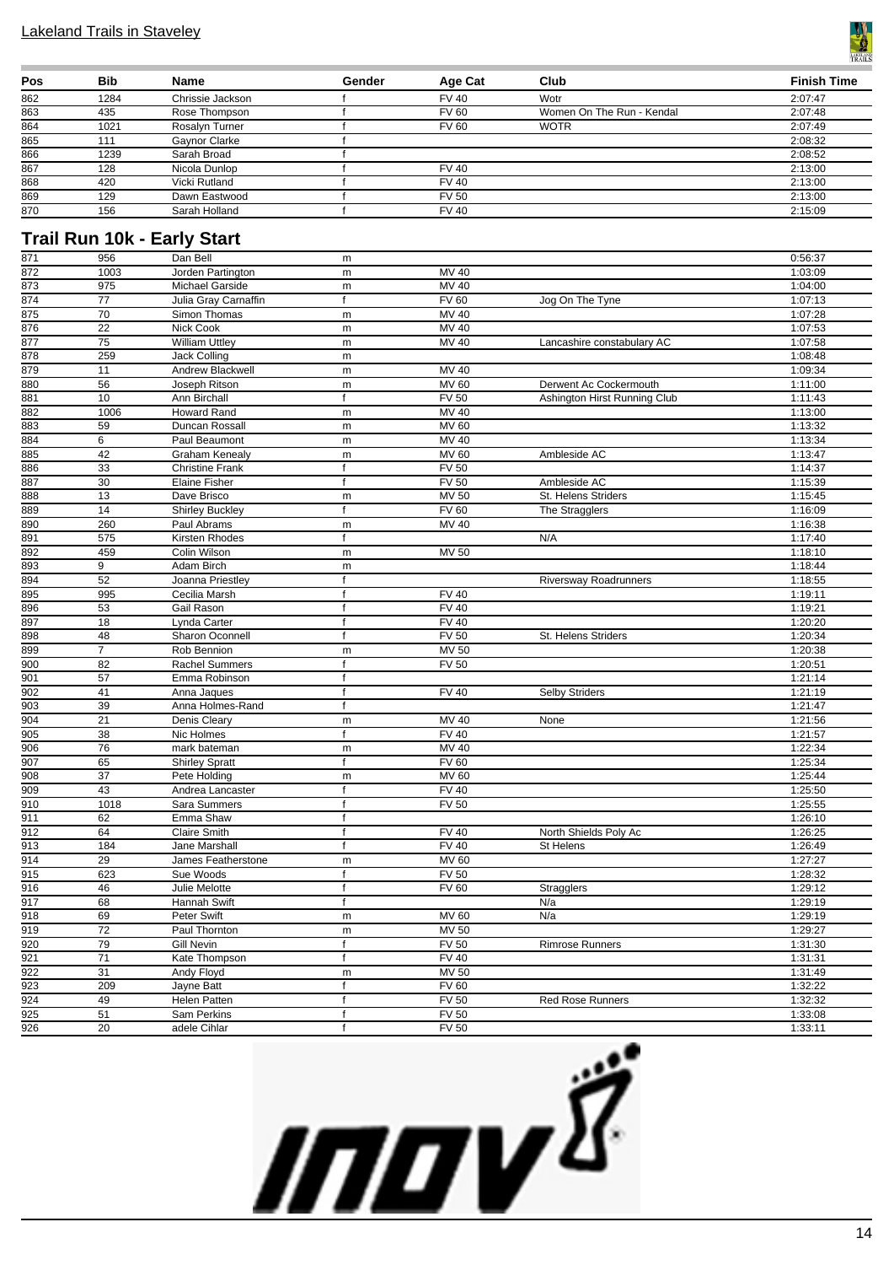

| Pos | <b>Bib</b> | <b>Name</b>      | Gender | Age Cat      | Club                      | <b>Finish Time</b> |
|-----|------------|------------------|--------|--------------|---------------------------|--------------------|
| 862 | 1284       | Chrissie Jackson |        | <b>FV 40</b> | Wotr                      | 2:07:47            |
| 863 | 435        | Rose Thompson    |        | <b>FV 60</b> | Women On The Run - Kendal | 2:07:48            |
| 864 | 1021       | Rosalyn Turner   |        | <b>FV 60</b> | <b>WOTR</b>               | 2:07:49            |
| 865 | 111        | Gavnor Clarke    |        |              |                           | 2:08:32            |
| 866 | 1239       | Sarah Broad      |        |              |                           | 2:08:52            |
| 867 | 128        | Nicola Dunlop    |        | <b>FV 40</b> |                           | 2:13:00            |
| 868 | 420        | Vicki Rutland    |        | <b>FV 40</b> |                           | 2:13:00            |
| 869 | 129        | Dawn Eastwood    |        | <b>FV 50</b> |                           | 2:13:00            |
| 870 | 156        | Sarah Holland    |        | <b>FV 40</b> |                           | 2:15:09            |

## **Trail Run 10k - Early Start**

| 871              | 956             | Dan Bell                  | m              |                     |                              | 0:56:37 |
|------------------|-----------------|---------------------------|----------------|---------------------|------------------------------|---------|
| $\overline{872}$ | 1003            | Jorden Partington         | m              | <b>MV 40</b>        |                              | 1:03:09 |
| 873              | 975             | Michael Garside           | m              | $\overline{MV}$ 40  |                              | 1:04:00 |
| 874              | $\overline{77}$ | Julia Gray Carnaffin      | f              | <b>FV 60</b>        | Jog On The Tyne              | 1:07:13 |
| 875              | 70              | Simon Thomas              | ${\sf m}$      | <b>MV 40</b>        |                              | 1:07:28 |
| 876              | $\overline{22}$ | Nick Cook                 | ${\sf m}$      | MV 40               |                              | 1:07:53 |
| $\overline{877}$ | 75              | William Uttley            | m              | MV 40               | Lancashire constabulary AC   | 1:07:58 |
| 878              | 259             | Jack Colling              | ${\sf m}$      |                     |                              | 1:08:48 |
| 879              | 11              | <b>Andrew Blackwell</b>   | m              | <b>MV 40</b>        |                              | 1:09:34 |
| 880              | 56              | Joseph Ritson             | m              | <b>MV 60</b>        | Derwent Ac Cockermouth       | 1:11:00 |
| 881              | 10              | Ann Birchall              | $\mathbf f$    | <b>FV 50</b>        | Ashington Hirst Running Club | 1:11:43 |
| 882              | 1006            | <b>Howard Rand</b>        | m              | MV 40               |                              | 1:13:00 |
| 883              | 59              | Duncan Rossall            | ${\sf m}$      | <b>MV 60</b>        |                              | 1:13:32 |
| 884              | 6               | Paul Beaumont             | ${\sf m}$      | <b>MV 40</b>        |                              | 1:13:34 |
| 885              | 42              | <b>Graham Kenealy</b>     | ${\sf m}$      | <b>MV 60</b>        | Ambleside AC                 | 1:13:47 |
| 886              | $\overline{33}$ | <b>Christine Frank</b>    | f              | <b>FV 50</b>        |                              | 1:14:37 |
| 887              | 30              | Elaine Fisher             | $\mathsf{f}$   | <b>FV 50</b>        | Ambleside AC                 | 1:15:39 |
| 888              | 13              | Dave Brisco               | m              | <b>MV 50</b>        | St. Helens Striders          | 1:15:45 |
| 889              | 14              | <b>Shirley Buckley</b>    | f              | <b>FV 60</b>        | The Stragglers               | 1:16:09 |
| 890              | 260             | Paul Abrams               | ${\sf m}$      | MV 40               |                              | 1:16:38 |
| 891              | 575             | Kirsten Rhodes            | $\mathsf{f}$   |                     | N/A                          | 1:17:40 |
| 892              | 459             | Colin Wilson              | ${\sf m}$      | <b>MV 50</b>        |                              | 1:18:10 |
| 893              | 9               | Adam Birch                | m              |                     |                              | 1:18:44 |
| 894              | 52              | Joanna Priestley          | $\overline{f}$ |                     | <b>Riversway Roadrunners</b> | 1:18:55 |
| 895              | 995             | Cecilia Marsh             | f              | <b>FV 40</b>        |                              | 1:19:11 |
| 896              | 53              | Gail Rason                | $\mathbf f$    | <b>FV 40</b>        |                              | 1:19:21 |
| 897              | 18              | Lynda Carter              | $\overline{f}$ | FV40                |                              | 1:20:20 |
| 898              | 48              | Sharon Oconnell           | f              | FV <sub>50</sub>    | St. Helens Striders          | 1:20:34 |
| 899              | 7               | Rob Bennion               | ${\sf m}$      | <b>MV 50</b>        |                              | 1:20:38 |
| 900              | 82              | <b>Rachel Summers</b>     | f              | <b>FV 50</b>        |                              | 1:20:51 |
| 901              | 57              | Emma Robinson             | $\mathsf{f}$   |                     |                              | 1:21:14 |
| 902              | 41              | Anna Jaques               | $\mathbf f$    | <b>FV 40</b>        | <b>Selby Striders</b>        | 1:21:19 |
| 903              | 39              | Anna Holmes-Rand          | f              |                     |                              | 1:21:47 |
| 904              | 21              | Denis Cleary              | ${\sf m}$      | $\overline{M}$ V 40 | None                         | 1:21:56 |
| $\frac{1}{905}$  | 38              | Nic Holmes                | $\mathsf{f}$   | FV40                |                              | 1:21:57 |
| 906              | $\overline{76}$ | mark bateman              | m              | <b>MV 40</b>        |                              | 1:22:34 |
| 907              | 65              | <b>Shirley Spratt</b>     | f              | <b>FV 60</b>        |                              | 1:25:34 |
| 908              | $\overline{37}$ | Pete Holding              | m              | <b>MV 60</b>        |                              | 1:25:44 |
| 909              | 43              | Andrea Lancaster          | $\mathsf{f}$   | <b>FV 40</b>        |                              | 1:25:50 |
| 910              | 1018            |                           | $\mathsf{f}$   | <b>FV 50</b>        |                              | 1:25:55 |
| 911              | 62              | Sara Summers<br>Emma Shaw | $\mathsf{f}$   |                     |                              | 1:26:10 |
| 912              | 64              | Claire Smith              | $\overline{f}$ | FV40                |                              |         |
|                  |                 |                           | $\mathsf{f}$   |                     | North Shields Poly Ac        | 1:26:25 |
| 913              | 184             | Jane Marshall             |                | <b>FV 40</b>        | St Helens                    | 1:26:49 |
| $\overline{914}$ | 29              | James Featherstone        | ${\sf m}$      | <b>MV 60</b>        |                              | 1:27:27 |
| 915              | 623             | Sue Woods                 | $\mathsf{f}$   | <b>FV 50</b>        |                              | 1:28:32 |
| 916              | 46              | Julie Melotte             | $\mathsf{f}$   | <b>FV 60</b>        | Stragglers                   | 1:29:12 |
| 917              | 68              | Hannah Swift              | $\mathsf{f}$   |                     | N/a                          | 1:29:19 |
| 918              | 69              | Peter Swift               | ${\sf m}$      | <b>MV 60</b>        | N/a                          | 1:29:19 |
| $\overline{919}$ | $\overline{72}$ | Paul Thornton             | ${\sf m}$      | <b>MV 50</b>        |                              | 1:29:27 |
| 920              | 79              | <b>Gill Nevin</b>         | $\mathsf{f}$   | $\overline{FV}$ 50  | <b>Rimrose Runners</b>       | 1:31:30 |
| $\overline{921}$ | $\overline{71}$ | Kate Thompson             | f              | <b>FV 40</b>        |                              | 1:31:31 |
| 922              | 31              | Andy Floyd                | m              | <b>MV 50</b>        |                              | 1:31:49 |
| 923              | 209             | Jayne Batt                | f              | <b>FV 60</b>        |                              | 1:32:22 |
| $\frac{1}{924}$  | 49              | Helen Patten              | $\mathsf{f}$   | <b>FV 50</b>        | <b>Red Rose Runners</b>      | 1:32:32 |
| $\overline{925}$ | 51              | Sam Perkins               | $\mathsf{f}$   | <b>FV 50</b>        |                              | 1:33:08 |
| $\overline{926}$ | $\overline{20}$ | adele Cihlar              | $\mathbf f$    | FV <sub>50</sub>    |                              | 1:33:11 |